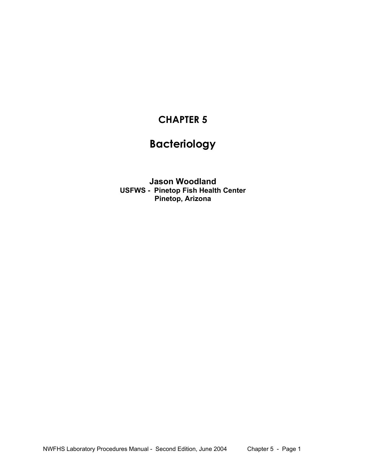## **CHAPTER 5**

# **Bacteriology**

**Jason Woodland USFWS - Pinetop Fish Health Center Pinetop, Arizona**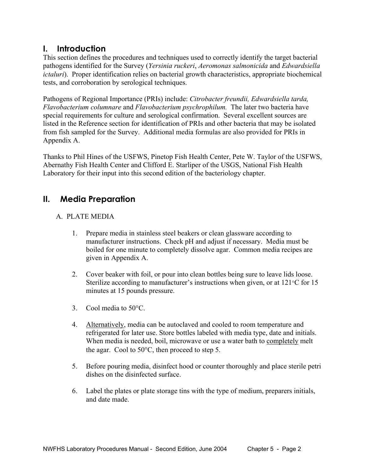### **I. Introduction**

This section defines the procedures and techniques used to correctly identify the target bacterial pathogens identified for the Survey (*Yersinia ruckeri*, *Aeromonas salmonicida* and *Edwardsiella ictaluri*). Proper identification relies on bacterial growth characteristics, appropriate biochemical tests, and corroboration by serological techniques.

Pathogens of Regional Importance (PRIs) include: *Citrobacter freundii, Edwardsiella tarda, Flavobacterium columnare* and *Flavobacterium psychrophilum.* The later two bacteria have special requirements for culture and serological confirmation. Several excellent sources are listed in the Reference section for identification of PRIs and other bacteria that may be isolated from fish sampled for the Survey. Additional media formulas are also provided for PRIs in Appendix A.

Thanks to Phil Hines of the USFWS, Pinetop Fish Health Center, Pete W. Taylor of the USFWS, Abernathy Fish Health Center and Clifford E. Starliper of the USGS, National Fish Health Laboratory for their input into this second edition of the bacteriology chapter.

### **II. Media Preparation**

### A. PLATE MEDIA

- 1. Prepare media in stainless steel beakers or clean glassware according to manufacturer instructions. Check pH and adjust if necessary. Media must be boiled for one minute to completely dissolve agar. Common media recipes are given in Appendix A.
- 2. Cover beaker with foil, or pour into clean bottles being sure to leave lids loose. Sterilize according to manufacturer's instructions when given, or at 121°C for 15 minutes at 15 pounds pressure.
- 3. Cool media to 50°C.
- 4. Alternatively, media can be autoclaved and cooled to room temperature and refrigerated for later use. Store bottles labeled with media type, date and initials. When media is needed, boil, microwave or use a water bath to completely melt the agar. Cool to 50°C, then proceed to step 5.
- 5. Before pouring media, disinfect hood or counter thoroughly and place sterile petri dishes on the disinfected surface.
- 6. Label the plates or plate storage tins with the type of medium, preparers initials, and date made.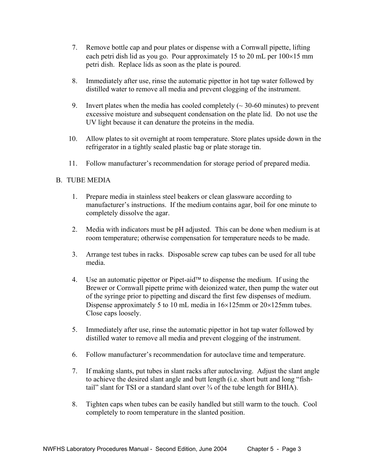- 7. Remove bottle cap and pour plates or dispense with a Cornwall pipette, lifting each petri dish lid as you go. Pour approximately 15 to 20 mL per  $100\times15$  mm petri dish. Replace lids as soon as the plate is poured.
- 8. Immediately after use, rinse the automatic pipettor in hot tap water followed by distilled water to remove all media and prevent clogging of the instrument.
- 9. Invert plates when the media has cooled completely  $(\sim 30{\text -}60 \text{ minutes})$  to prevent excessive moisture and subsequent condensation on the plate lid. Do not use the UV light because it can denature the proteins in the media.
- 10. Allow plates to sit overnight at room temperature. Store plates upside down in the refrigerator in a tightly sealed plastic bag or plate storage tin.
- 11. Follow manufacturer's recommendation for storage period of prepared media.

#### B. TUBE MEDIA

- 1. Prepare media in stainless steel beakers or clean glassware according to manufacturer's instructions. If the medium contains agar, boil for one minute to completely dissolve the agar.
- 2. Media with indicators must be pH adjusted. This can be done when medium is at room temperature; otherwise compensation for temperature needs to be made.
- 3. Arrange test tubes in racks. Disposable screw cap tubes can be used for all tube media.
- 4. Use an automatic pipettor or Pipet-aid<sup> $\tau$ M</sup> to dispense the medium. If using the Brewer or Cornwall pipette prime with deionized water, then pump the water out of the syringe prior to pipetting and discard the first few dispenses of medium. Dispense approximately 5 to 10 mL media in  $16\times125$ mm or  $20\times125$ mm tubes. Close caps loosely.
- 5. Immediately after use, rinse the automatic pipettor in hot tap water followed by distilled water to remove all media and prevent clogging of the instrument.
- 6. Follow manufacturer's recommendation for autoclave time and temperature.
- 7. If making slants, put tubes in slant racks after autoclaving. Adjust the slant angle to achieve the desired slant angle and butt length (i.e. short butt and long "fishtail" slant for TSI or a standard slant over  $\frac{3}{4}$  of the tube length for BHIA).
- 8. Tighten caps when tubes can be easily handled but still warm to the touch. Cool completely to room temperature in the slanted position.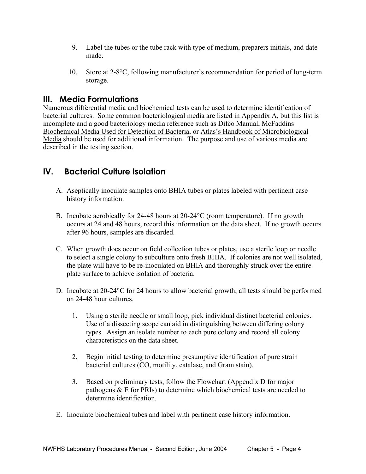- 9. Label the tubes or the tube rack with type of medium, preparers initials, and date made.
- 10. Store at 2-8°C, following manufacturer's recommendation for period of long-term storage.

### **III. Media Formulations**

Numerous differential media and biochemical tests can be used to determine identification of bacterial cultures. Some common bacteriological media are listed in Appendix A, but this list is incomplete and a good bacteriology media reference such as Difco Manual, McFaddins Biochemical Media Used for Detection of Bacteria, or Atlas's Handbook of Microbiological Media should be used for additional information. The purpose and use of various media are described in the testing section.

### **IV. Bacterial Culture Isolation**

- A. Aseptically inoculate samples onto BHIA tubes or plates labeled with pertinent case history information.
- B. Incubate aerobically for 24-48 hours at 20-24°C (room temperature). If no growth occurs at 24 and 48 hours, record this information on the data sheet. If no growth occurs after 96 hours, samples are discarded.
- C. When growth does occur on field collection tubes or plates, use a sterile loop or needle to select a single colony to subculture onto fresh BHIA. If colonies are not well isolated, the plate will have to be re-inoculated on BHIA and thoroughly struck over the entire plate surface to achieve isolation of bacteria.
- D. Incubate at 20-24°C for 24 hours to allow bacterial growth; all tests should be performed on 24-48 hour cultures.
	- 1. Using a sterile needle or small loop, pick individual distinct bacterial colonies. Use of a dissecting scope can aid in distinguishing between differing colony types. Assign an isolate number to each pure colony and record all colony characteristics on the data sheet.
	- 2. Begin initial testing to determine presumptive identification of pure strain bacterial cultures (CO, motility, catalase, and Gram stain).
	- 3. Based on preliminary tests, follow the Flowchart (Appendix D for major pathogens & E for PRIs) to determine which biochemical tests are needed to determine identification.
- E. Inoculate biochemical tubes and label with pertinent case history information.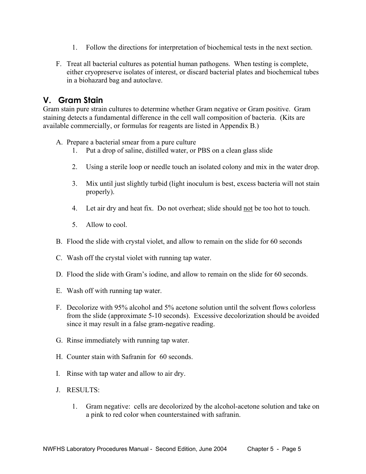- 1. Follow the directions for interpretation of biochemical tests in the next section.
- F. Treat all bacterial cultures as potential human pathogens. When testing is complete, either cryopreserve isolates of interest, or discard bacterial plates and biochemical tubes in a biohazard bag and autoclave.

### **V. Gram Stain**

Gram stain pure strain cultures to determine whether Gram negative or Gram positive. Gram staining detects a fundamental difference in the cell wall composition of bacteria. (Kits are available commercially, or formulas for reagents are listed in Appendix B.)

- A. Prepare a bacterial smear from a pure culture
	- 1. Put a drop of saline, distilled water, or PBS on a clean glass slide
	- 2. Using a sterile loop or needle touch an isolated colony and mix in the water drop.
	- 3. Mix until just slightly turbid (light inoculum is best, excess bacteria will not stain properly).
	- 4. Let air dry and heat fix. Do not overheat; slide should not be too hot to touch.
	- 5. Allow to cool.
- B. Flood the slide with crystal violet, and allow to remain on the slide for 60 seconds
- C. Wash off the crystal violet with running tap water.
- D. Flood the slide with Gram's iodine, and allow to remain on the slide for 60 seconds.
- E. Wash off with running tap water.
- F. Decolorize with 95% alcohol and 5% acetone solution until the solvent flows colorless from the slide (approximate 5-10 seconds). Excessive decolorization should be avoided since it may result in a false gram-negative reading.
- G. Rinse immediately with running tap water.
- H. Counter stain with Safranin for 60 seconds.
- I. Rinse with tap water and allow to air dry.
- J. RESULTS:
	- 1. Gram negative: cells are decolorized by the alcohol-acetone solution and take on a pink to red color when counterstained with safranin.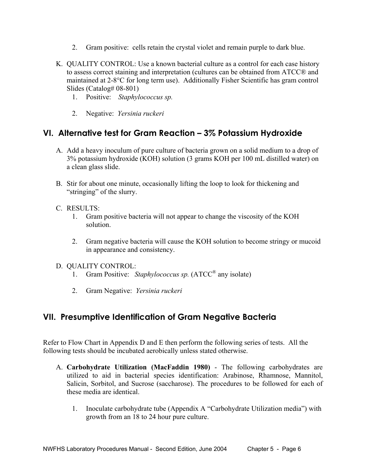- 2. Gram positive: cells retain the crystal violet and remain purple to dark blue.
- K. QUALITY CONTROL: Use a known bacterial culture as a control for each case history to assess correct staining and interpretation (cultures can be obtained from ATCC® and maintained at 2-8°C for long term use). Additionally Fisher Scientific has gram control Slides (Catalog# 08-801)
	- 1. Positive: *Staphylococcus sp.*
	- 2. Negative: *Yersinia ruckeri*

### **VI. Alternative test for Gram Reaction – 3% Potassium Hydroxide**

- A. Add a heavy inoculum of pure culture of bacteria grown on a solid medium to a drop of 3% potassium hydroxide (KOH) solution (3 grams KOH per 100 mL distilled water) on a clean glass slide.
- B. Stir for about one minute, occasionally lifting the loop to look for thickening and "stringing" of the slurry.
- C. RESULTS:
	- 1. Gram positive bacteria will not appear to change the viscosity of the KOH solution.
	- 2. Gram negative bacteria will cause the KOH solution to become stringy or mucoid in appearance and consistency.
- D. QUALITY CONTROL:
	- 1. Gram Positive: *Staphylococcus sp.* (ATCC® any isolate)
	- 2. Gram Negative: *Yersinia ruckeri*

### **VII. Presumptive Identification of Gram Negative Bacteria**

Refer to Flow Chart in Appendix D and E then perform the following series of tests. All the following tests should be incubated aerobically unless stated otherwise.

- A. **Carbohydrate Utilization (MacFaddin 1980)** The following carbohydrates are utilized to aid in bacterial species identification: Arabinose, Rhamnose, Mannitol, Salicin, Sorbitol, and Sucrose (saccharose). The procedures to be followed for each of these media are identical.
	- 1. Inoculate carbohydrate tube (Appendix A "Carbohydrate Utilization media") with growth from an 18 to 24 hour pure culture.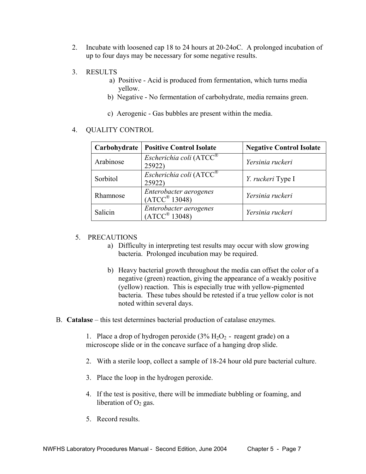- 2. Incubate with loosened cap 18 to 24 hours at 20-24oC. A prolonged incubation of up to four days may be necessary for some negative results.
- 3. RESULTS
	- a) Positive Acid is produced from fermentation, which turns media yellow.
	- b) Negative No fermentation of carbohydrate, media remains green.
	- c) Aerogenic Gas bubbles are present within the media.

#### 4. QUALITY CONTROL

| Carbohydrate | <b>Positive Control Isolate</b>                      | <b>Negative Control Isolate</b> |
|--------------|------------------------------------------------------|---------------------------------|
| Arabinose    | Escherichia coli ( $ATCC^{\circledR}$<br>25922)      | Yersinia ruckeri                |
| Sorbitol     | Escherichia coli (ATCC®<br>25922)                    | Y. ruckeri Type I               |
| Rhamnose     | Enterobacter aerogenes<br>$(ATCC^{\circledR} 13048)$ | Yersinia ruckeri                |
| Salicin      | Enterobacter aerogenes<br>$(ATCC^{\circledR} 13048)$ | Yersinia ruckeri                |

#### 5. PRECAUTIONS

- a) Difficulty in interpreting test results may occur with slow growing bacteria. Prolonged incubation may be required.
- b) Heavy bacterial growth throughout the media can offset the color of a negative (green) reaction, giving the appearance of a weakly positive (yellow) reaction. This is especially true with yellow-pigmented bacteria. These tubes should be retested if a true yellow color is not noted within several days.
- B. **Catalase** this test determines bacterial production of catalase enzymes.

1. Place a drop of hydrogen peroxide  $(3\% H_2O_2$  - reagent grade) on a microscope slide or in the concave surface of a hanging drop slide.

- 2. With a sterile loop, collect a sample of 18-24 hour old pure bacterial culture.
- 3. Place the loop in the hydrogen peroxide.
- 4. If the test is positive, there will be immediate bubbling or foaming, and liberation of  $O<sub>2</sub>$  gas.
- 5. Record results.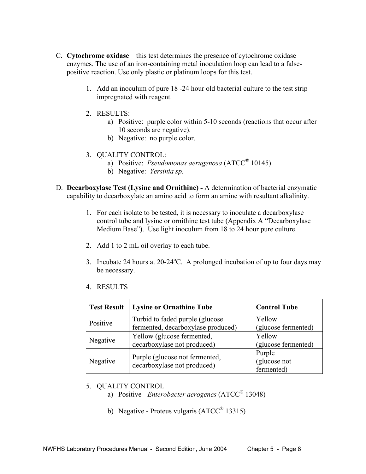- C. **Cytochrome oxidase** this test determines the presence of cytochrome oxidase enzymes. The use of an iron-containing metal inoculation loop can lead to a falsepositive reaction. Use only plastic or platinum loops for this test.
	- 1. Add an inoculum of pure 18 -24 hour old bacterial culture to the test strip impregnated with reagent.
	- 2. RESULTS:
		- a) Positive: purple color within 5-10 seconds (reactions that occur after 10 seconds are negative).
		- b) Negative: no purple color.
	- 3. QUALITY CONTROL:
		- a) Positive: *Pseudomonas aerugenosa* (ATCC® 10145)
		- b) Negative: *Yersinia sp.*
- D. **Decarboxylase Test (Lysine and Ornithine)** A determination of bacterial enzymatic capability to decarboxylate an amino acid to form an amine with resultant alkalinity.
	- 1. For each isolate to be tested, it is necessary to inoculate a decarboxylase control tube and lysine or ornithine test tube (Appendix A "Decarboxylase Medium Base"). Use light inoculum from 18 to 24 hour pure culture.
	- 2. Add 1 to 2 mL oil overlay to each tube.
	- 3. Incubate 24 hours at  $20-24$ <sup>o</sup>C. A prolonged incubation of up to four days may be necessary.
	- 4. RESULTS

| <b>Test Result</b> | <b>Lysine or Ornathine Tube</b>    | <b>Control Tube</b> |
|--------------------|------------------------------------|---------------------|
| Positive           | Turbid to faded purple (glucose)   | Yellow              |
|                    | fermented, decarboxylase produced) | (glucose fermented) |
| Negative           | Yellow (glucose fermented,         | Yellow              |
|                    | decarboxylase not produced)        | (glucose fermented) |
|                    | Purple (glucose not fermented,     | Purple              |
| Negative           | decarboxylase not produced)        | (glucose not        |
|                    |                                    | fermented)          |

- 5. QUALITY CONTROL
	- a) Positive *Enterobacter aerogenes* (ATCC® 13048)
	- b) Negative Proteus vulgaris (ATCC<sup>®</sup> 13315)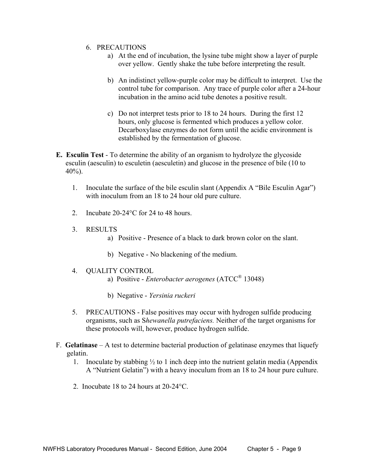- 6. PRECAUTIONS
	- a) At the end of incubation, the lysine tube might show a layer of purple over yellow. Gently shake the tube before interpreting the result.
	- b) An indistinct yellow-purple color may be difficult to interpret. Use the control tube for comparison. Any trace of purple color after a 24-hour incubation in the amino acid tube denotes a positive result.
	- c) Do not interpret tests prior to 18 to 24 hours. During the first 12 hours, only glucose is fermented which produces a yellow color. Decarboxylase enzymes do not form until the acidic environment is established by the fermentation of glucose.
- **E. Esculin Test** To determine the ability of an organism to hydrolyze the glycoside esculin (aesculin) to esculetin (aesculetin) and glucose in the presence of bile (10 to 40%).
	- 1. Inoculate the surface of the bile esculin slant (Appendix A "Bile Esculin Agar") with inoculum from an 18 to 24 hour old pure culture.
	- 2. Incubate 20-24°C for 24 to 48 hours.
	- 3. RESULTS
		- a) Positive Presence of a black to dark brown color on the slant.
		- b) Negative No blackening of the medium.
	- 4. QUALITY CONTROL
		- a) Positive *Enterobacter aerogenes* (ATCC® 13048)
		- b) Negative *Yersinia ruckeri*
	- 5. PRECAUTIONS False positives may occur with hydrogen sulfide producing organisms, such as S*hewanella putrefaciens.* Neither of the target organisms for these protocols will, however, produce hydrogen sulfide.
- F. **Gelatinase** A test to determine bacterial production of gelatinase enzymes that liquefy gelatin.
	- 1. Inoculate by stabbing  $\frac{1}{2}$  to 1 inch deep into the nutrient gelatin media (Appendix A "Nutrient Gelatin") with a heavy inoculum from an 18 to 24 hour pure culture.
	- 2. Inocubate 18 to 24 hours at 20-24°C.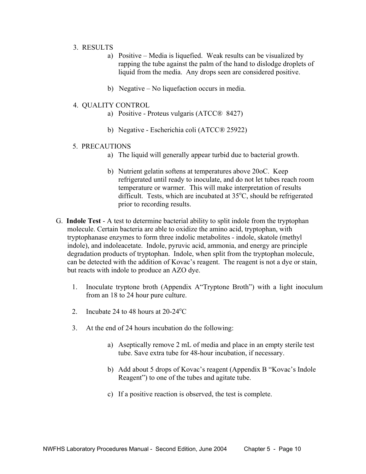- 3. RESULTS
	- a) Positive Media is liquefied. Weak results can be visualized by rapping the tube against the palm of the hand to dislodge droplets of liquid from the media. Any drops seen are considered positive.
	- b) Negative No liquefaction occurs in media.
- 4. QUALITY CONTROL
	- a) Positive Proteus vulgaris (ATCC® 8427)
	- b) Negative Escherichia coli (ATCC® 25922)

#### 5. PRECAUTIONS

- a) The liquid will generally appear turbid due to bacterial growth.
- b) Nutrient gelatin softens at temperatures above 20oC. Keep refrigerated until ready to inoculate, and do not let tubes reach room temperature or warmer. This will make interpretation of results difficult. Tests, which are incubated at  $35^{\circ}$ C, should be refrigerated prior to recording results.
- G. **Indole Test** A test to determine bacterial ability to split indole from the tryptophan molecule. Certain bacteria are able to oxidize the amino acid, tryptophan, with tryptophanase enzymes to form three indolic metabolites - indole, skatole (methyl indole), and indoleacetate. Indole, pyruvic acid, ammonia, and energy are principle degradation products of tryptophan. Indole, when split from the tryptophan molecule, can be detected with the addition of Kovac's reagent. The reagent is not a dye or stain, but reacts with indole to produce an AZO dye.
	- 1. Inoculate tryptone broth (Appendix A"Tryptone Broth") with a light inoculum from an 18 to 24 hour pure culture.
	- 2. Incubate 24 to 48 hours at  $20-24$ <sup>o</sup>C
	- 3. At the end of 24 hours incubation do the following:
		- a) Aseptically remove 2 mL of media and place in an empty sterile test tube. Save extra tube for 48-hour incubation, if necessary.
		- b) Add about 5 drops of Kovac's reagent (Appendix B "Kovac's Indole Reagent") to one of the tubes and agitate tube.
		- c) If a positive reaction is observed, the test is complete.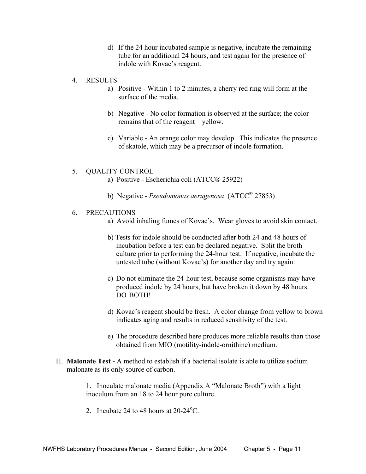- d) If the 24 hour incubated sample is negative, incubate the remaining tube for an additional 24 hours, and test again for the presence of indole with Kovac's reagent.
- 4. RESULTS
	- a) Positive Within 1 to 2 minutes, a cherry red ring will form at the surface of the media.
	- b) Negative No color formation is observed at the surface; the color remains that of the reagent – yellow.
	- c) Variable An orange color may develop. This indicates the presence of skatole, which may be a precursor of indole formation.

#### 5. QUALITY CONTROL

- a) Positive Escherichia coli (ATCC® 25922)
- b) Negative *Pseudomonas aerugenosa* (ATCC® 27853)
- 6. PRECAUTIONS
	- a) Avoid inhaling fumes of Kovac's. Wear gloves to avoid skin contact.
	- b) Tests for indole should be conducted after both 24 and 48 hours of incubation before a test can be declared negative. Split the broth culture prior to performing the 24-hour test. If negative, incubate the untested tube (without Kovac's) for another day and try again.
	- c) Do not eliminate the 24-hour test, because some organisms may have produced indole by 24 hours, but have broken it down by 48 hours. DO BOTH!
	- d) Kovac's reagent should be fresh. A color change from yellow to brown indicates aging and results in reduced sensitivity of the test.
	- e) The procedure described here produces more reliable results than those obtained from MIO (motility-indole-ornithine) medium.
- H. **Malonate Test** A method to establish if a bacterial isolate is able to utilize sodium malonate as its only source of carbon.

1. Inoculate malonate media (Appendix A "Malonate Broth") with a light inoculum from an 18 to 24 hour pure culture.

2. Incubate 24 to 48 hours at  $20-24$ <sup>o</sup>C.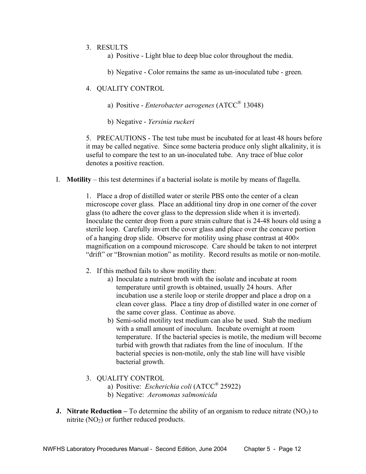#### 3. RESULTS

a) Positive - Light blue to deep blue color throughout the media.

b) Negative - Color remains the same as un-inoculated tube - green.

#### 4. QUALITY CONTROL

a) Positive - *Enterobacter aerogenes* (ATCC® 13048)

b) Negative - *Yersinia ruckeri*

5. PRECAUTIONS - The test tube must be incubated for at least 48 hours before it may be called negative. Since some bacteria produce only slight alkalinity, it is useful to compare the test to an un-inoculated tube. Any trace of blue color denotes a positive reaction.

I. **Motility** – this test determines if a bacterial isolate is motile by means of flagella.

1. Place a drop of distilled water or sterile PBS onto the center of a clean microscope cover glass. Place an additional tiny drop in one corner of the cover glass (to adhere the cover glass to the depression slide when it is inverted). Inoculate the center drop from a pure strain culture that is 24-48 hours old using a sterile loop. Carefully invert the cover glass and place over the concave portion of a hanging drop slide. Observe for motility using phase contrast at 400× magnification on a compound microscope. Care should be taken to not interpret "drift" or "Brownian motion" as motility. Record results as motile or non-motile.

- 2. If this method fails to show motility then:
	- a) Inoculate a nutrient broth with the isolate and incubate at room temperature until growth is obtained, usually 24 hours. After incubation use a sterile loop or sterile dropper and place a drop on a clean cover glass. Place a tiny drop of distilled water in one corner of the same cover glass. Continue as above.
	- b) Semi-solid motility test medium can also be used. Stab the medium with a small amount of inoculum. Incubate overnight at room temperature. If the bacterial species is motile, the medium will become turbid with growth that radiates from the line of inoculum. If the bacterial species is non-motile, only the stab line will have visible bacterial growth.
- 3. QUALITY CONTROL
	- a) Positive: *Escherichia coli* (ATCC® 25922)
	- b) Negative: *Aeromonas salmonicida*
- **J. Nitrate Reduction** To determine the ability of an organism to reduce nitrate  $(NO<sub>3</sub>)$  to nitrite  $(NO<sub>2</sub>)$  or further reduced products.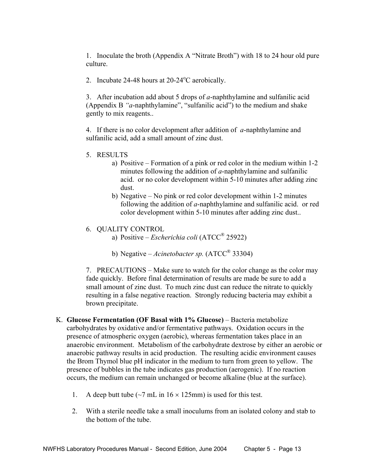1. Inoculate the broth (Appendix A "Nitrate Broth") with 18 to 24 hour old pure culture.

2. Incubate  $24-48$  hours at  $20-24$ <sup>o</sup>C aerobically.

3. After incubation add about 5 drops of *a*-naphthylamine and sulfanilic acid (Appendix B *"a*-naphthylamine", "sulfanilic acid") to the medium and shake gently to mix reagents..

4. If there is no color development after addition of *a*-naphthylamine and sulfanilic acid, add a small amount of zinc dust.

- 5. RESULTS
	- a) Positive Formation of a pink or red color in the medium within 1-2 minutes following the addition of *a*-naphthylamine and sulfanilic acid. or no color development within 5-10 minutes after adding zinc dust.
	- b) Negative No pink or red color development within 1-2 minutes following the addition of *a*-naphthylamine and sulfanilic acid. or red color development within 5-10 minutes after adding zinc dust..

#### 6. QUALITY CONTROL

- a) Positive *Escherichia coli* (ATCC® 25922)
- b) Negative *Acinetobacter sp.* (ATCC® 33304)

7. PRECAUTIONS – Make sure to watch for the color change as the color may fade quickly. Before final determination of results are made be sure to add a small amount of zinc dust. To much zinc dust can reduce the nitrate to quickly resulting in a false negative reaction. Strongly reducing bacteria may exhibit a brown precipitate.

- K. **Glucose Fermentation (OF Basal with 1% Glucose)** Bacteria metabolize carbohydrates by oxidative and/or fermentative pathways. Oxidation occurs in the presence of atmospheric oxygen (aerobic), whereas fermentation takes place in an anaerobic environment. Metabolism of the carbohydrate dextrose by either an aerobic or anaerobic pathway results in acid production. The resulting acidic environment causes the Brom Thymol blue pH indicator in the medium to turn from green to yellow. The presence of bubbles in the tube indicates gas production (aerogenic). If no reaction occurs, the medium can remain unchanged or become alkaline (blue at the surface).
	- 1. A deep butt tube  $\left(\sim 7 \text{ mL in } 16 \times 125 \text{ mm}\right)$  is used for this test.
	- 2. With a sterile needle take a small inoculums from an isolated colony and stab to the bottom of the tube.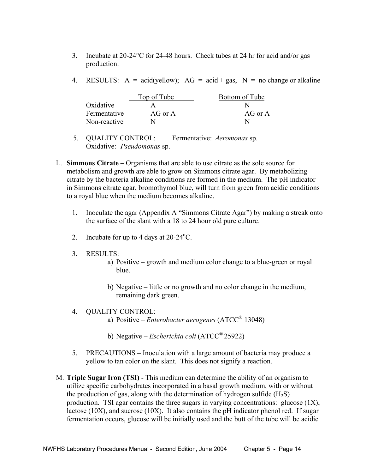- 3. Incubate at 20-24°C for 24-48 hours. Check tubes at 24 hr for acid and/or gas production.
- 4. RESULTS:  $A = \text{acid}(yellow)$ :  $AG = \text{acid} + \text{gas}$ .  $N = \text{no change or alkaline}$

|              | Top of Tube | Bottom of Tube |
|--------------|-------------|----------------|
| Oxidative    |             |                |
| Fermentative | AG or A     | AG or A        |
| Non-reactive |             |                |

- 5. QUALITY CONTROL: Fermentative: *Aeromonas* sp. Oxidative: *Pseudomonas* sp.
- L. **Simmons Citrate** Organisms that are able to use citrate as the sole source for metabolism and growth are able to grow on Simmons citrate agar. By metabolizing citrate by the bacteria alkaline conditions are formed in the medium. The pH indicator in Simmons citrate agar, bromothymol blue, will turn from green from acidic conditions to a royal blue when the medium becomes alkaline.
	- 1. Inoculate the agar (Appendix A "Simmons Citrate Agar") by making a streak onto the surface of the slant with a 18 to 24 hour old pure culture.
	- 2. Incubate for up to 4 days at  $20-24$ <sup>o</sup>C.
	- 3. RESULTS:
		- a) Positive growth and medium color change to a blue-green or royal blue.
		- b) Negative little or no growth and no color change in the medium, remaining dark green.
	- 4. QUALITY CONTROL:
		- a) Positive *Enterobacter aerogenes* (ATCC® 13048)
		- b) Negative *Escherichia coli* (ATCC® 25922)
	- 5. PRECAUTIONS Inoculation with a large amount of bacteria may produce a yellow to tan color on the slant. This does not signify a reaction.
- M. **Triple Sugar Iron (TSI)** This medium can determine the ability of an organism to utilize specific carbohydrates incorporated in a basal growth medium, with or without the production of gas, along with the determination of hydrogen sulfide  $(H_2S)$ production. TSI agar contains the three sugars in varying concentrations: glucose (1X), lactose (10X), and sucrose (10X). It also contains the pH indicator phenol red. If sugar fermentation occurs, glucose will be initially used and the butt of the tube will be acidic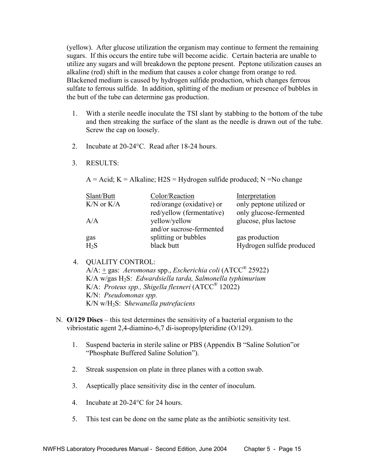(yellow). After glucose utilization the organism may continue to ferment the remaining sugars. If this occurs the entire tube will become acidic. Certain bacteria are unable to utilize any sugars and will breakdown the peptone present. Peptone utilization causes an alkaline (red) shift in the medium that causes a color change from orange to red. Blackened medium is caused by hydrogen sulfide production, which changes ferrous sulfate to ferrous sulfide. In addition, splitting of the medium or presence of bubbles in the butt of the tube can determine gas production.

- 1. With a sterile needle inoculate the TSI slant by stabbing to the bottom of the tube and then streaking the surface of the slant as the needle is drawn out of the tube. Screw the cap on loosely.
- 2. Incubate at 20-24°C. Read after 18-24 hours.
- 3. RESULTS:

 $A = Acid$ ;  $K = Alkaline$ ;  $H2S = Hydrogen$  sulfide produced;  $N = No$  change

| Slant/Butt     | Color/Reaction            | Interpretation            |
|----------------|---------------------------|---------------------------|
| $K/N$ or $K/A$ | red/orange (oxidative) or | only peptone utilized or  |
|                | red/yellow (fermentative) | only glucose-fermented    |
| A/A            | yellow/yellow             | glucose, plus lactose     |
|                | and/or sucrose-fermented  |                           |
| gas            | splitting or bubbles      | gas production            |
| $H_2S$         | black butt                | Hydrogen sulfide produced |

#### 4. QUALITY CONTROL:

 A/A: + gas: *Aeromonas* spp., *Escherichia coli* (ATCC® 25922) K/A w/gas H2S: *Edwardsiella tarda, Salmonella typhimurium*  K/A: *Proteus spp., Shigella flexneri* (ATCC® 12022) K/N: *Pseudomonas spp.*  K/N w/H2S: S*hewanella putrefaciens* 

- N. **O/129 Discs** this test determines the sensitivity of a bacterial organism to the vibriostatic agent 2,4-diamino-6,7 di-isopropylpteridine (O/129).
	- 1. Suspend bacteria in sterile saline or PBS (Appendix B "Saline Solution"or "Phosphate Buffered Saline Solution").
	- 2. Streak suspension on plate in three planes with a cotton swab.
	- 3. Aseptically place sensitivity disc in the center of inoculum.
	- 4. Incubate at 20-24°C for 24 hours.
	- 5. This test can be done on the same plate as the antibiotic sensitivity test.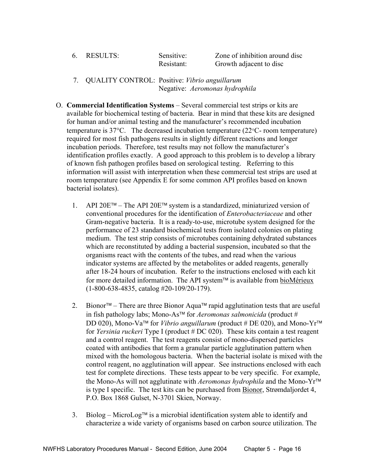| 6. RESULTS: | Sensitive: | Zone of inhibition around disc |
|-------------|------------|--------------------------------|
|             | Resistant: | Growth adjacent to disc        |
|             |            |                                |

- 7. QUALITY CONTROL: Positive: *Vibrio anguillarum* Negative: *Aeromonas hydrophila*
- O. **Commercial Identification Systems** Several commercial test strips or kits are available for biochemical testing of bacteria. Bear in mind that these kits are designed for human and/or animal testing and the manufacturer's recommended incubation temperature is  $37^{\circ}$ C. The decreased incubation temperature ( $22^{\circ}$ C- room temperature) required for most fish pathogens results in slightly different reactions and longer incubation periods. Therefore, test results may not follow the manufacturer's identification profiles exactly. A good approach to this problem is to develop a library of known fish pathogen profiles based on serological testing. Referring to this information will assist with interpretation when these commercial test strips are used at room temperature (see Appendix E for some common API profiles based on known bacterial isolates).
	- 1. API 20E<sup>TM</sup> The API 20E<sup>TM</sup> system is a standardized, miniaturized version of conventional procedures for the identification of *Enterobacteriaceae* and other Gram-negative bacteria. It is a ready-to-use, microtube system designed for the performance of 23 standard biochemical tests from isolated colonies on plating medium. The test strip consists of microtubes containing dehydrated substances which are reconstituted by adding a bacterial suspension, incubated so that the organisms react with the contents of the tubes, and read when the various indicator systems are affected by the metabolites or added reagents, generally after 18-24 hours of incubation. Refer to the instructions enclosed with each kit for more detailed information. The API system<sup> $TM$ </sup> is available from bioMérieux (1-800-638-4835, catalog #20-109/20-179).
	- 2. Bionor<sup>TM</sup> There are three Bionor Aqua<sup>TM</sup> rapid agglutination tests that are useful in fish pathology labs; Mono-As™ for *Aeromonas salmonicida* (product # DD 020), Mono-Va<sup>TM</sup> for *Vibrio anguillarum* (product # DE 020), and Mono-Yr<sup>TM</sup> for *Yersinia ruckeri* Type I (product # DC 020). These kits contain a test reagent and a control reagent. The test reagents consist of mono-dispersed particles coated with antibodies that form a granular particle agglutination pattern when mixed with the homologous bacteria. When the bacterial isolate is mixed with the control reagent, no agglutination will appear. See instructions enclosed with each test for complete directions. These tests appear to be very specific. For example, the Mono-As will not agglutinate with *Aeromonas hydrophila* and the Mono-Yr is type I specific. The test kits can be purchased from Bionor, Strømdaljordet 4, P.O. Box 1868 Gulset, N-3701 Skien, Norway.
	- 3. Biolog MicroLog<sup> $\text{TM}$ </sup> is a microbial identification system able to identify and characterize a wide variety of organisms based on carbon source utilization. The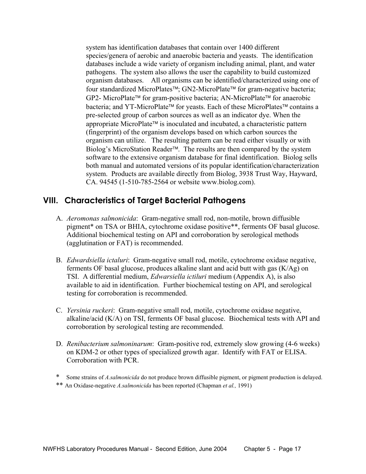system has identification databases that contain over 1400 different species/genera of aerobic and anaerobic bacteria and yeasts. The identification databases include a wide variety of organism including animal, plant, and water pathogens. The system also allows the user the capability to build customized organism databases. All organisms can be identified/characterized using one of four standardized MicroPlates<sup>™</sup>; GN2-MicroPlate<sup>™</sup> for gram-negative bacteria; GP2- MicroPlate<sup>™</sup> for gram-positive bacteria; AN-MicroPlate<sup>™</sup> for anaerobic bacteria; and YT-MicroPlate™ for yeasts. Each of these MicroPlates<sup>™</sup> contains a pre-selected group of carbon sources as well as an indicator dye. When the appropriate MicroPlate<sup> $\mathsf{TM}$ </sup> is inoculated and incubated, a characteristic pattern (fingerprint) of the organism develops based on which carbon sources the organism can utilize. The resulting pattern can be read either visually or with Biolog's MicroStation Reader<sup>™</sup>. The results are then compared by the system software to the extensive organism database for final identification. Biolog sells both manual and automated versions of its popular identification/characterization system. Products are available directly from Biolog, 3938 Trust Way, Hayward, CA. 94545 (1-510-785-2564 or website www.biolog.com).

### **VIII. Characteristics of Target Bacterial Pathogens**

- A. *Aeromonas salmonicida*: Gram-negative small rod, non-motile, brown diffusible pigment\* on TSA or BHIA, cytochrome oxidase positive\*\*, ferments OF basal glucose. Additional biochemical testing on API and corroboration by serological methods (agglutination or FAT) is recommended.
- B. *Edwardsiella ictaluri*: Gram-negative small rod, motile, cytochrome oxidase negative, ferments OF basal glucose, produces alkaline slant and acid butt with gas (K/Ag) on TSI. A differential medium, *Edwarsiella ictiluri* medium (Appendix A), is also available to aid in identification. Further biochemical testing on API, and serological testing for corroboration is recommended.
- C. *Yersinia ruckeri*: Gram-negative small rod, motile, cytochrome oxidase negative, alkaline/acid (K/A) on TSI, ferments OF basal glucose. Biochemical tests with API and corroboration by serological testing are recommended.
- D. *Renibacterium salmoninarum*: Gram-positive rod, extremely slow growing (4-6 weeks) on KDM-2 or other types of specialized growth agar. Identify with FAT or ELISA. Corroboration with PCR.
- Some strains of *A.salmonicida* do not produce brown diffusible pigment, or pigment production is delayed.
- \*\* An Oxidase-negative *A.salmonicida* has been reported (Chapman *et al.,* 1991)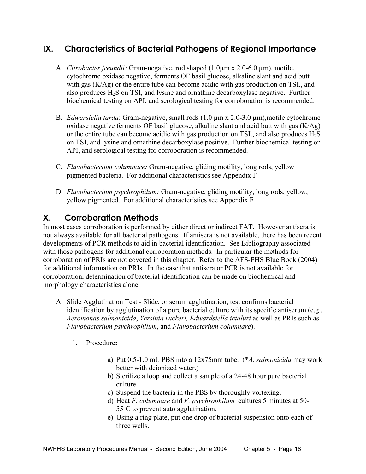### **IX. Characteristics of Bacterial Pathogens of Regional Importance**

- A. *Citrobacter freundii:* Gram-negative, rod shaped (1.0µm x 2.0-6.0 µm), motile, cytochrome oxidase negative, ferments OF basil glucose, alkaline slant and acid butt with gas (K/Ag) or the entire tube can become acidic with gas production on TSI., and also produces  $H_2S$  on TSI, and lysine and ornathine decarboxylase negative. Further biochemical testing on API, and serological testing for corroboration is recommended.
- B. *Edwarsiella tarda*: Gram-negative, small rods (1.0 µm x 2.0-3.0 µm),motile cytochrome oxidase negative ferments OF basil glucose, alkaline slant and acid butt with gas (K/Ag) or the entire tube can become acidic with gas production on TSI, and also produces  $H_2S$ on TSI, and lysine and ornathine decarboxylase positive. Further biochemical testing on API, and serological testing for corroboration is recommended.
- C. *Flavobacterium columnare:* Gram-negative, gliding motility, long rods, yellow pigmented bacteria. For additional characteristics see Appendix F
- D. *Flavobacterium psychrophilum:* Gram-negative, gliding motility, long rods, yellow, yellow pigmented. For additional characteristics see Appendix F

### **X. Corroboration Methods**

In most cases corroboration is performed by either direct or indirect FAT. However antisera is not always available for all bacterial pathogens. If antisera is not available, there has been recent developments of PCR methods to aid in bacterial identification. See Bibliography associated with those pathogens for additional corroboration methods. In particular the methods for corroboration of PRIs are not covered in this chapter. Refer to the AFS-FHS Blue Book (2004) for additional information on PRIs. In the case that antisera or PCR is not available for corroboration, determination of bacterial identification can be made on biochemical and morphology characteristics alone.

- A. Slide Agglutination Test Slide, or serum agglutination, test confirms bacterial identification by agglutination of a pure bacterial culture with its specific antiserum (e.g., *Aeromonas salmonicida*, *Yersinia ruckeri, Edwardsiella ictaluri* as well as PRIs such as *Flavobacterium psychrophilum*, and *Flavobacterium columnare*).
	- 1. Procedure**:**
		- a) Put 0.5-1.0 mL PBS into a 12x75mm tube. (\**A. salmonicida* may work better with deionized water.)
		- b) Sterilize a loop and collect a sample of a 24-48 hour pure bacterial culture.
		- c) Suspend the bacteria in the PBS by thoroughly vortexing.
		- d) Heat *F. columnare* and *F. psychrophilum* cultures 5 minutes at 50- 55°C to prevent auto agglutination.
		- e) Using a ring plate, put one drop of bacterial suspension onto each of three wells.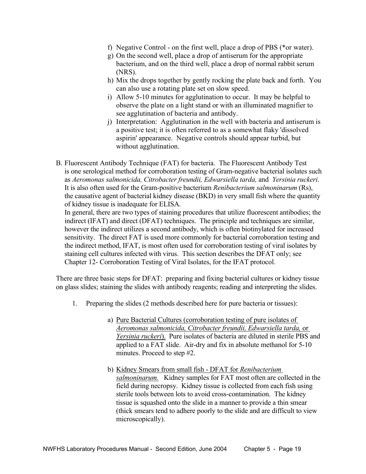- f) Negative Control on the first well, place a drop of PBS (\*or water).
- g) On the second well, place a drop of antiserum for the appropriate bacterium, and on the third well, place a drop of normal rabbit serum (NRS).
- h) Mix the drops together by gently rocking the plate back and forth. You can also use a rotating plate set on slow speed.
- i) Allow 5-10 minutes for agglutination to occur. It may be helpful to observe the plate on a light stand or with an illuminated magnifier to see agglutination of bacteria and antibody.
- j) Interpretation: Agglutination in the well with bacteria and antiserum is a positive test; it is often referred to as a somewhat flaky 'dissolved aspirin' appearance. Negative controls should appear turbid, but without agglutination.
- B. Fluorescent Antibody Technique (FAT) for bacteria. The Fluorescent Antibody Test is one serological method for corroboration testing of Gram-negative bacterial isolates such as *Aeromonas salmonicida, Citrobacter freundii, Edwarsiella tarda,* and *Yersinia ruckeri*. It is also often used for the Gram-positive bacterium *Renibacterium salmoninarum* (Rs), the causative agent of bacterial kidney disease (BKD) in very small fish where the quantity of kidney tissue is inadequate for ELISA.

In general, there are two types of staining procedures that utilize fluorescent antibodies; the indirect (IFAT) and direct (DFAT) techniques. The principle and techniques are similar, however the indirect utilizes a second antibody, which is often biotinylated for increased sensitivity. The direct FAT is used more commonly for bacterial corroboration testing and the indirect method, IFAT, is most often used for corroboration testing of viral isolates by staining cell cultures infected with virus. This section describes the DFAT only; see Chapter 12- Corroboration Testing of Viral Isolates, for the IFAT protocol.

There are three basic steps for DFAT: preparing and fixing bacterial cultures or kidney tissue on glass slides; staining the slides with antibody reagents; reading and interpreting the slides.

- 1. Preparing the slides (2 methods described here for pure bacteria or tissues):
	- a) Pure Bacterial Cultures (corroboration testing of pure isolates of  *Aeromonas salmonicida, Citrobacter freundii, Edwarsiella tarda,* or *Yersinia ruckeri*). Pure isolates of bacteria are diluted in sterile PBS and applied to a FAT slide. Air-dry and fix in absolute methanol for 5-10 minutes. Proceed to step #2.
	- b) Kidney Smears from small fish DFAT for *Renibacterium salmoninarum.* Kidney samples for FAT most often are collected in the field during necropsy. Kidney tissue is collected from each fish using sterile tools between lots to avoid cross-contamination. The kidney tissue is squashed onto the slide in a manner to provide a thin smear (thick smears tend to adhere poorly to the slide and are difficult to view microscopically).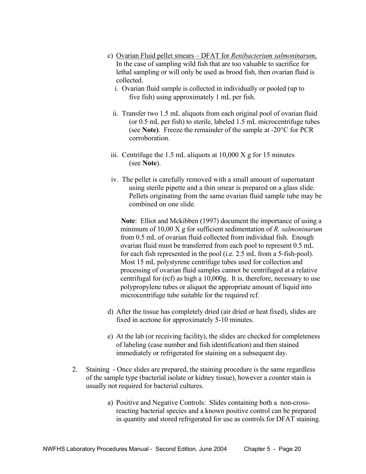- c) Ovarian Fluid pellet smears DFAT for *Renibacterium salmoninarum*, In the case of sampling wild fish that are too valuable to sacrifice for lethal sampling or will only be used as brood fish, then ovarian fluid is collected.
	- i. Ovarian fluid sample is collected in individually or pooled (up to five fish) using approximately 1 mL per fish.
	- ii. Transfer two 1.5 mL aliquots from each original pool of ovarian fluid (or 0.5 mL per fish) to sterile, labeled 1.5 mL microcentrifuge tubes (see **Note)**. Freeze the remainder of the sample at -20°C for PCR corroboration.
- iii. Centrifuge the 1.5 mL aliquots at  $10,000$  X g for 15 minutes (see **Note**).
- iv. The pellet is carefully removed with a small amount of supernatant using sterile pipette and a thin smear is prepared on a glass slide. Pellets originating from the same ovarian fluid sample tube may be combined on one slide.

**Note**: Elliot and Mckibben (1997) document the importance of using a minimum of 10,00 X g for sufficient sedimentation of *R. salmoninarum*  from 0.5 mL of ovarian fluid collected from individual fish. Enough ovarian fluid must be transferred from each pool to represent 0.5 mL for each fish represented in the pool (i.e. 2.5 mL from a 5-fish-pool). Most 15 mL polystyrene centrifuge tubes used for collection and processing of ovarian fluid samples cannot be centrifuged at a relative centrifugal for (rcf) as high a 10,000g. It is, therefore, necessary to use polypropylene tubes or aliquot the appropriate amount of liquid into microcentrifuge tube suitable for the required rcf.

- d) After the tissue has completely dried (air dried or heat fixed), slides are fixed in acetone for approximately 5-10 minutes.
- e) At the lab (or receiving facility), the slides are checked for completeness of labeling (case number and fish identification) and then stained immediately or refrigerated for staining on a subsequent day.
- 2. Staining Once slides are prepared, the staining procedure is the same regardless of the sample type (bacterial isolate or kidney tissue), however a counter stain is usually not required for bacterial cultures.
	- a) Positive and Negative Controls: Slides containing both a non-cross reacting bacterial species and a known positive control can be prepared in quantity and stored refrigerated for use as controls for DFAT staining.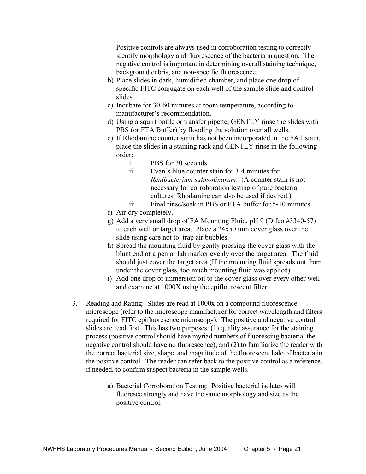Positive controls are always used in corroboration testing to correctly identify morphology and fluorescence of the bacteria in question. The negative control is important in determining overall staining technique, background debris, and non-specific fluorescence.

- b) Place slides in dark, humidified chamber, and place one drop of specific FITC conjugate on each well of the sample slide and control slides.
- c) Incubate for 30-60 minutes at room temperature, according to manufacturer's recommendation.
- d) Using a squirt bottle or transfer pipette, GENTLY rinse the slides with PBS (or FTA Buffer) by flooding the solution over all wells.
- e) If Rhodamine counter stain has not been incorporated in the FAT stain, place the slides in a staining rack and GENTLY rinse in the following order:
	- i. PBS for 30 seconds
	- ii. Evan's blue counter stain for 3-4 minutes for *Renibacterium salmoninarum*. (A counter stain is not necessary for corroboration testing of pure bacterial cultures, Rhodamine can also be used if desired.)
	- iii. Final rinse/soak in PBS or FTA buffer for 5-10 minutes.
- f) Air-dry completely.
- g) Add a very small drop of FA Mounting Fluid, pH 9 (Difco #3340-57) to each well or target area. Place a 24x50 mm cover glass over the slide using care not to trap air bubbles.
- h) Spread the mounting fluid by gently pressing the cover glass with the blunt end of a pen or lab marker evenly over the target area. The fluid should just cover the target area (If the mounting fluid spreads out from under the cover glass, too much mounting fluid was applied).
- i) Add one drop of immersion oil to the cover glass over every other well and examine at 1000X using the epiflourescent filter.
- 3. Reading and Rating: Slides are read at 1000x on a compound fluorescence microscope (refer to the microscope manufacturer for correct wavelength and filters required for FITC epifluoresence microscopy). The positive and negative control slides are read first. This has two purposes: (1) quality assurance for the staining process (positive control should have myriad numbers of fluorescing bacteria, the negative control should have no fluorescence); and (2) to familiarize the reader with the correct bacterial size, shape, and magnitude of the fluorescent halo of bacteria in the positive control. The reader can refer back to the positive control as a reference, if needed, to confirm suspect bacteria in the sample wells.
	- a) Bacterial Corroboration Testing: Positive bacterial isolates will fluoresce strongly and have the same morphology and size as the positive control.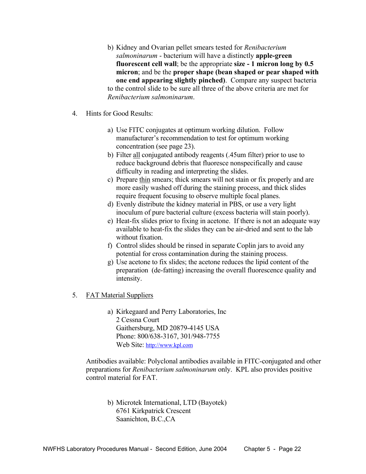- b) Kidney and Ovarian pellet smears tested for *Renibacterium salmoninarum* - bacterium will have a distinctly **apple-green fluorescent cell wall**; be the appropriate **size - 1 micron long by 0.5 micron**; and be the **proper shape (bean shaped or pear shaped with one end appearing slightly pinched)**. Compare any suspect bacteria to the control slide to be sure all three of the above criteria are met for *Renibacterium salmoninarum*.
- 4. Hints for Good Results:
	- a) Use FITC conjugates at optimum working dilution. Follow manufacturer's recommendation to test for optimum working concentration (see page 23).
	- b) Filter all conjugated antibody reagents (.45um filter) prior to use to reduce background debris that fluoresce nonspecifically and cause difficulty in reading and interpreting the slides.
	- c) Prepare thin smears; thick smears will not stain or fix properly and are more easily washed off during the staining process, and thick slides require frequent focusing to observe multiple focal planes.
	- d) Evenly distribute the kidney material in PBS, or use a very light inoculum of pure bacterial culture (excess bacteria will stain poorly).
	- e) Heat-fix slides prior to fixing in acetone. If there is not an adequate way available to heat-fix the slides they can be air-dried and sent to the lab without fixation.
	- f) Control slides should be rinsed in separate Coplin jars to avoid any potential for cross contamination during the staining process.
	- g) Use acetone to fix slides; the acetone reduces the lipid content of the preparation (de-fatting) increasing the overall fluorescence quality and intensity.
- 5. FAT Material Suppliers
	- a) Kirkegaard and Perry Laboratories, Inc 2 Cessna Court Gaithersburg, MD 20879-4145 USA Phone: 800/638-3167, 301/948-7755 Web Site: http://www.kpl.com

 Antibodies available: Polyclonal antibodies available in FITC-conjugated and other preparations for *Renibacterium salmoninarum* only. KPL also provides positive control material for FAT.

 b) Microtek International, LTD (Bayotek) 6761 Kirkpatrick Crescent Saanichton, B.C.,CA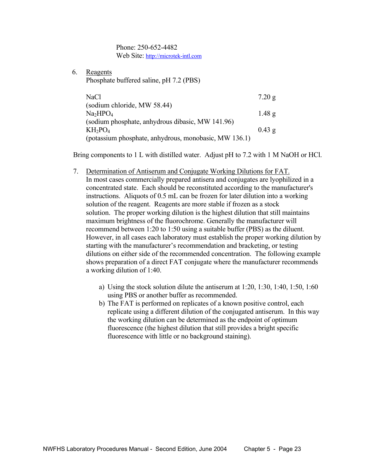Phone: 250-652-4482 Web Site: http://microtek-intl.com

6. Reagents

Phosphate buffered saline, pH 7.2 (PBS)

| NaCl                                                  | 7.20 g            |
|-------------------------------------------------------|-------------------|
| (sodium chloride, MW 58.44)                           |                   |
| Na <sub>2</sub> HPO <sub>4</sub>                      | 1.48 <sub>g</sub> |
| (sodium phosphate, anhydrous dibasic, MW 141.96)      |                   |
| $KH_2PO_4$                                            | $0.43$ g          |
| (potassium phosphate, anhydrous, monobasic, MW 136.1) |                   |

Bring components to 1 L with distilled water. Adjust pH to 7.2 with 1 M NaOH or HCl.

- 7. Determination of Antiserum and Conjugate Working Dilutions for FAT. In most cases commercially prepared antisera and conjugates are lyophilized in a concentrated state. Each should be reconstituted according to the manufacturer's instructions. Aliquots of 0.5 mL can be frozen for later dilution into a working solution of the reagent. Reagents are more stable if frozen as a stock solution. The proper working dilution is the highest dilution that still maintains maximum brightness of the fluorochrome. Generally the manufacturer will recommend between 1:20 to 1:50 using a suitable buffer (PBS) as the diluent. However, in all cases each laboratory must establish the proper working dilution by starting with the manufacturer's recommendation and bracketing, or testing dilutions on either side of the recommended concentration. The following example shows preparation of a direct FAT conjugate where the manufacturer recommends a working dilution of 1:40.
	- a) Using the stock solution dilute the antiserum at 1:20, 1:30, 1:40, 1:50, 1:60 using PBS or another buffer as recommended.
	- b) The FAT is performed on replicates of a known positive control, each replicate using a different dilution of the conjugated antiserum. In this way the working dilution can be determined as the endpoint of optimum fluorescence (the highest dilution that still provides a bright specific fluorescence with little or no background staining).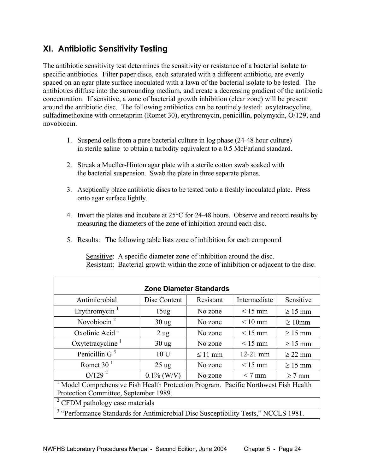### **XI. Antibiotic Sensitivity Testing**

The antibiotic sensitivity test determines the sensitivity or resistance of a bacterial isolate to specific antibiotics. Filter paper discs, each saturated with a different antibiotic, are evenly spaced on an agar plate surface inoculated with a lawn of the bacterial isolate to be tested. The antibiotics diffuse into the surrounding medium, and create a decreasing gradient of the antibiotic concentration. If sensitive, a zone of bacterial growth inhibition (clear zone) will be present around the antibiotic disc. The following antibiotics can be routinely tested: oxytetracycline, sulfadimethoxine with ormetaprim (Romet 30), erythromycin, penicillin, polymyxin, O/129, and novobiocin.

- 1. Suspend cells from a pure bacterial culture in log phase (24-48 hour culture) in sterile saline to obtain a turbidity equivalent to a 0.5 McFarland standard.
- 2. Streak a Mueller-Hinton agar plate with a sterile cotton swab soaked with the bacterial suspension. Swab the plate in three separate planes.
- 3. Aseptically place antibiotic discs to be tested onto a freshly inoculated plate. Press onto agar surface lightly.
- 4. Invert the plates and incubate at 25°C for 24-48 hours. Observe and record results by measuring the diameters of the zone of inhibition around each disc.
- 5. Results: The following table lists zone of inhibition for each compound

Sensitive: A specific diameter zone of inhibition around the disc. Resistant: Bacterial growth within the zone of inhibition or adjacent to the disc.

| <b>Zone Diameter Standards</b>                                                                                             |                  |              |                   |              |  |
|----------------------------------------------------------------------------------------------------------------------------|------------------|--------------|-------------------|--------------|--|
| Antimicrobial                                                                                                              | Disc Content     | Resistant    | Intermediate      | Sensitive    |  |
| Erythromycin $1$                                                                                                           | 15 <sub>ug</sub> | No zone      | $\leq 15$ mm      | $\geq 15$ mm |  |
| Novobiocin $2$                                                                                                             | $30$ ug          | No zone      | $< 10 \text{ mm}$ | $\geq 10$ mm |  |
| Oxolinic Acid $1$                                                                                                          | $2$ ug           | No zone      | $< 15$ mm         | $\geq 15$ mm |  |
| Oxytetracycline $1$                                                                                                        | $30$ ug          | No zone      | $< 15$ mm         | $\geq 15$ mm |  |
| Penicillin G $3$                                                                                                           | 10 U             | $\leq$ 11 mm | $12 - 21$ mm      | $\geq$ 22 mm |  |
| Romet 30 $1$                                                                                                               | $25 \text{ ug}$  | No zone      | $< 15$ mm         | $\geq 15$ mm |  |
| O/129 <sup>2</sup>                                                                                                         | $0.1\%$ (W/V)    | No zone      | $< 7$ mm          | $\geq$ 7 mm  |  |
| Model Comprehensive Fish Health Protection Program. Pacific Northwest Fish Health<br>Protection Committee, September 1989. |                  |              |                   |              |  |
| <sup>2</sup> CFDM pathology case materials                                                                                 |                  |              |                   |              |  |
| <sup>3</sup> "Performance Standards for Antimicrobial Disc Susceptibility Tests," NCCLS 1981.                              |                  |              |                   |              |  |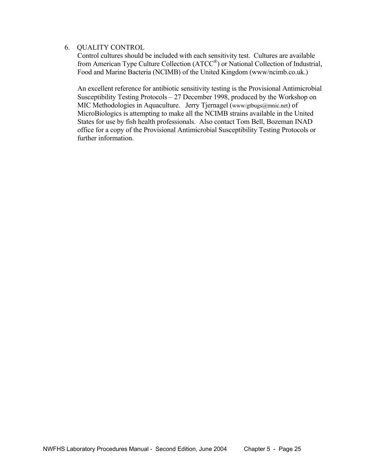#### 6. QUALITY CONTROL

Control cultures should be included with each sensitivity test. Cultures are available from American Type Culture Collection (ATCC®) or National Collection of Industrial, Food and Marine Bacteria (NCIMB) of the United Kingdom (www/ncimb.co.uk.)

An excellent reference for antibiotic sensitivity testing is the Provisional Antimicrobial Susceptibility Testing Protocols – 27 December 1998, produced by the Workshop on MIC Methodologies in Aquaculture. Jerry Tjernagel (www/gtbugs@mnic.net) of MicroBiologics is attempting to make all the NCIMB strains available in the United States for use by fish health professionals. Also contact Tom Bell, Bozeman INAD office for a copy of the Provisional Antimicrobial Susceptibility Testing Protocols or further information.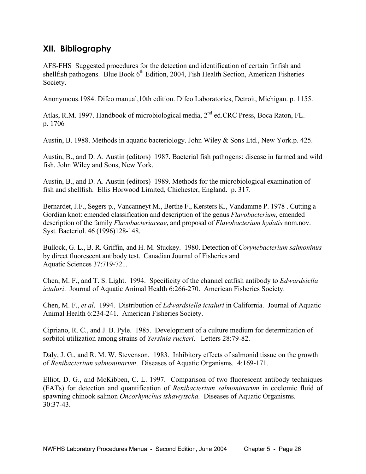### **XII. Bibliography**

AFS-FHS Suggested procedures for the detection and identification of certain finfish and shellfish pathogens. Blue Book  $6<sup>th</sup>$  Edition, 2004, Fish Health Section, American Fisheries Society.

Anonymous.1984. Difco manual,10th edition. Difco Laboratories, Detroit, Michigan. p. 1155.

Atlas, R.M. 1997. Handbook of microbiological media,  $2<sup>nd</sup>$  ed.CRC Press, Boca Raton, FL. p. 1706

Austin, B. 1988. Methods in aquatic bacteriology. John Wiley & Sons Ltd., New York.p. 425.

Austin, B., and D. A. Austin (editors) 1987. Bacterial fish pathogens: disease in farmed and wild fish. John Wiley and Sons, New York.

Austin, B., and D. A. Austin (editors) 1989. Methods for the microbiological examination of fish and shellfish. Ellis Horwood Limited, Chichester, England. p. 317.

Bernardet, J.F., Segers p., Vancanneyt M., Berthe F., Kersters K., Vandamme P. 1978 . Cutting a Gordian knot: emended classification and description of the genus *Flavobacterium*, emended description of the family *Flavobacteriaceae*, and proposal of *Flavobacterium hydatis* nom.nov. Syst. Bacteriol. 46 (1996)128-148.

Bullock, G. L., B. R. Griffin, and H. M. Stuckey. 1980. Detection of *Corynebacterium salmoninus*  by direct fluorescent antibody test. Canadian Journal of Fisheries and Aquatic Sciences 37:719-721.

Chen, M. F., and T. S. Light. 1994. Specificity of the channel catfish antibody to *Edwardsiella ictaluri*. Journal of Aquatic Animal Health 6:266-270. American Fisheries Society.

Chen, M. F., *et al*. 1994. Distribution of *Edwardsiella ictaluri* in California. Journal of Aquatic Animal Health 6:234-241. American Fisheries Society.

Cipriano, R. C., and J. B. Pyle. 1985. Development of a culture medium for determination of sorbitol utilization among strains of *Yersinia ruckeri*. Letters 28:79-82.

Daly, J. G., and R. M. W. Stevenson. 1983. Inhibitory effects of salmonid tissue on the growth of *Renibacterium salmoninarum*. Diseases of Aquatic Organisms. 4:169-171.

Elliot, D. G., and McKibben, C. L. 1997. Comparison of two fluorescent antibody techniques (FATs) for detection and quantification of *Renibacterium salmoninarum* in coelomic fluid of spawning chinook salmon *Oncorhynchus tshawytscha.* Diseases of Aquatic Organisms. 30:37-43.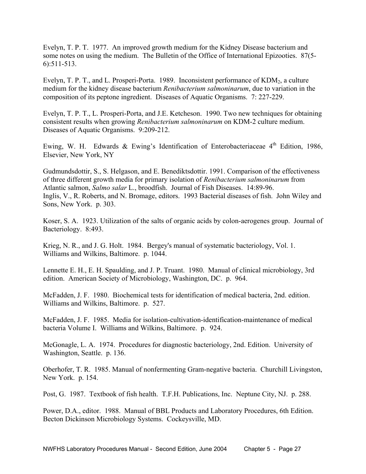Evelyn, T. P. T. 1977. An improved growth medium for the Kidney Disease bacterium and some notes on using the medium. The Bulletin of the Office of International Epizooties. 87(5- 6):511-513.

Evelyn, T. P. T., and L. Prosperi-Porta. 1989. Inconsistent performance of  $KDM<sub>2</sub>$ , a culture medium for the kidney disease bacterium *Renibacterium salmoninarum*, due to variation in the composition of its peptone ingredient. Diseases of Aquatic Organisms. 7: 227-229.

Evelyn, T. P. T., L. Prosperi-Porta, and J.E. Ketcheson. 1990. Two new techniques for obtaining consistent results when growing *Renibacterium salmoninarum* on KDM-2 culture medium. Diseases of Aquatic Organisms. 9:209-212.

Ewing, W. H. Edwards & Ewing's Identification of Enterobacteriaceae  $4<sup>th</sup>$  Edition, 1986, Elsevier, New York, NY

Gudmundsdottir, S., S. Helgason, and E. Benediktsdottir. 1991. Comparison of the effectiveness of three different growth media for primary isolation of *Renibacterium salmoninarum* from Atlantic salmon, *Salmo salar* L., broodfish. Journal of Fish Diseases. 14:89-96. Inglis, V., R. Roberts, and N. Bromage, editors. 1993 Bacterial diseases of fish. John Wiley and Sons, New York. p. 303.

Koser, S. A. 1923. Utilization of the salts of organic acids by colon-aerogenes group. Journal of Bacteriology. 8:493.

Krieg, N. R., and J. G. Holt. 1984. Bergey's manual of systematic bacteriology, Vol. 1. Williams and Wilkins, Baltimore. p. 1044.

Lennette E. H., E. H. Spaulding, and J. P. Truant. 1980. Manual of clinical microbiology, 3rd edition. American Society of Microbiology, Washington, DC. p. 964.

McFadden, J. F. 1980. Biochemical tests for identification of medical bacteria, 2nd. edition. Williams and Wilkins, Baltimore. p. 527.

McFadden, J. F. 1985. Media for isolation-cultivation-identification-maintenance of medical bacteria Volume I. Williams and Wilkins, Baltimore. p. 924.

McGonagle, L. A. 1974. Procedures for diagnostic bacteriology, 2nd. Edition. University of Washington, Seattle. p. 136.

Oberhofer, T. R. 1985. Manual of nonfermenting Gram-negative bacteria. Churchill Livingston, New York. p. 154.

Post, G. 1987. Textbook of fish health. T.F.H. Publications, Inc. Neptune City, NJ. p. 288.

Power, D.A., editor. 1988. Manual of BBL Products and Laboratory Procedures, 6th Edition. Becton Dickinson Microbiology Systems. Cockeysville, MD.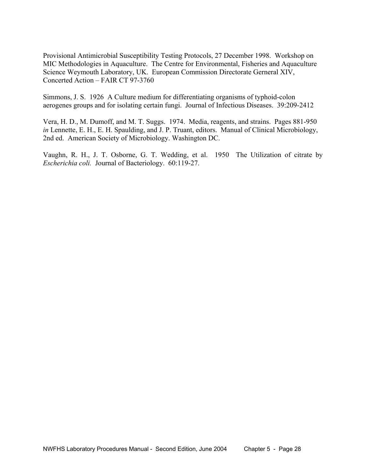Provisional Antimicrobial Susceptibility Testing Protocols, 27 December 1998. Workshop on MIC Methodologies in Aquaculture. The Centre for Environmental, Fisheries and Aquaculture Science Weymouth Laboratory, UK. European Commission Directorate Gerneral XIV, Concerted Action – FAIR CT 97-3760

Simmons, J. S. 1926 A Culture medium for differentiating organisms of typhoid-colon aerogenes groups and for isolating certain fungi. Journal of Infectious Diseases. 39:209-2412

Vera, H. D., M. Dumoff, and M. T. Suggs. 1974. Media, reagents, and strains. Pages 881-950 *in* Lennette, E. H., E. H. Spaulding, and J. P. Truant, editors. Manual of Clinical Microbiology, 2nd ed. American Society of Microbiology. Washington DC.

Vaughn, R. H., J. T. Osborne, G. T. Wedding, et al. 1950 The Utilization of citrate by *Escherichia coli.* Journal of Bacteriology. 60:119-27.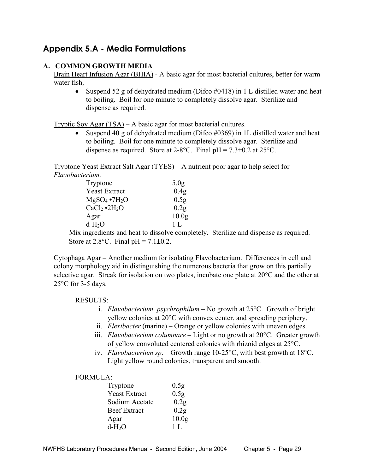### **Appendix 5.A - Media Formulations**

#### **A. COMMON GROWTH MEDIA**

Brain Heart Infusion Agar (BHIA) - A basic agar for most bacterial cultures, better for warm water fish.

• Suspend 52 g of dehydrated medium (Difco #0418) in 1 L distilled water and heat to boiling. Boil for one minute to completely dissolve agar. Sterilize and dispense as required.

Tryptic Soy Agar (TSA) – A basic agar for most bacterial cultures.

• Suspend 40 g of dehydrated medium (Difco #0369) in 1L distilled water and heat to boiling. Boil for one minute to completely dissolve agar. Sterilize and dispense as required. Store at 2-8°C. Final  $pH = 7.3 \pm 0.2$  at 25°C.

Tryptone Yeast Extract Salt Agar (TYES) – A nutrient poor agar to help select for *Flavobacterium.*

| Tryptone               | 5.0 <sub>g</sub>  |
|------------------------|-------------------|
| <b>Yeast Extract</b>   | 0.4 <sub>g</sub>  |
| $MgSO_4 \bullet 7H_2O$ | 0.5 <sub>g</sub>  |
| $CaCl2 \cdot 2H2O$     | 0.2g              |
| Agar                   | 10.0 <sub>g</sub> |
| $d-H2O$                | 1 L               |

Mix ingredients and heat to dissolve completely. Sterilize and dispense as required. Store at  $2.8$ °C. Final pH =  $7.1\pm0.2$ .

Cytophaga Agar – Another medium for isolating Flavobacterium. Differences in cell and colony morphology aid in distinguishing the numerous bacteria that grow on this partially selective agar. Streak for isolation on two plates, incubate one plate at 20°C and the other at  $25^{\circ}$ C for 3-5 days.

#### RESULTS:

- i. *Flavobacterium psychrophilum* No growth at 25°C. Growth of bright yellow colonies at 20°C with convex center, and spreading periphery.
- ii. *Flexibacter* (marine) Orange or yellow colonies with uneven edges.
- iii. *Flavobacterium columnare*  Light or no growth at 20°C. Greater growth of yellow convoluted centered colonies with rhizoid edges at 25°C.
- iv. *Flavobacterium sp*. Growth range 10-25°C, with best growth at 18°C. Light yellow round colonies, transparent and smooth.

#### FORMULA:

| Tryptone             | 0.5 <sub>g</sub>  |
|----------------------|-------------------|
| <b>Yeast Extract</b> | 0.5 <sub>g</sub>  |
| Sodium Acetate       | 0.2 <sub>g</sub>  |
| <b>Beef Extract</b>  | 0.2 <sub>g</sub>  |
| Agar                 | 10.0 <sub>g</sub> |
| $d-H2O$              | 1 L               |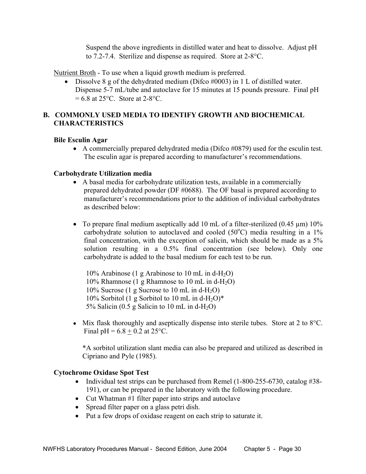Suspend the above ingredients in distilled water and heat to dissolve. Adjust pH to 7.2-7.4. Sterilize and dispense as required. Store at 2-8°C.

Nutrient Broth - To use when a liquid growth medium is preferred.

• Dissolve 8 g of the dehydrated medium (Difco #0003) in 1 L of distilled water. Dispense 5-7 mL/tube and autoclave for 15 minutes at 15 pounds pressure. Final pH  $= 6.8$  at 25 $^{\circ}$ C. Store at 2-8 $^{\circ}$ C.

#### **B. COMMONLY USED MEDIA TO IDENTIFY GROWTH AND BIOCHEMICAL CHARACTERISTICS**

#### **Bile Esculin Agar**

• A commercially prepared dehydrated media (Difco #0879) used for the esculin test. The esculin agar is prepared according to manufacturer's recommendations.

#### **Carbohydrate Utilization media**

- A basal media for carbohydrate utilization tests, available in a commercially prepared dehydrated powder (DF #0688). The OF basal is prepared according to manufacturer's recommendations prior to the addition of individual carbohydrates as described below:
- To prepare final medium aseptically add 10 mL of a filter-sterilized  $(0.45 \mu m)$  10% carbohydrate solution to autoclaved and cooled  $(50^{\circ}C)$  media resulting in a 1% final concentration, with the exception of salicin, which should be made as a 5% solution resulting in a 0.5% final concentration (see below). Only one carbohydrate is added to the basal medium for each test to be run.

 $10\%$  Arabinose (1 g Arabinose to 10 mL in d-H<sub>2</sub>O) 10% Rhamnose (1 g Rhamnose to 10 mL in d-H<sub>2</sub>O)  $10\%$  Sucrose (1 g Sucrose to 10 mL in d-H<sub>2</sub>O) 10% Sorbitol (1 g Sorbitol to 10 mL in d-H<sub>2</sub>O)<sup>\*</sup> 5% Salicin (0.5 g Salicin to 10 mL in d-H<sub>2</sub>O)

• Mix flask thoroughly and aseptically dispense into sterile tubes. Store at 2 to 8<sup>o</sup>C. Final  $pH = 6.8 + 0.2$  at 25°C.

 \*A sorbitol utilization slant media can also be prepared and utilized as described in Cipriano and Pyle (1985).

#### **Cytochrome Oxidase Spot Test**

- Individual test strips can be purchased from Remel (1-800-255-6730, catalog #38-191), or can be prepared in the laboratory with the following procedure.
- Cut Whatman #1 filter paper into strips and autoclave
- Spread filter paper on a glass petri dish.
- Put a few drops of oxidase reagent on each strip to saturate it.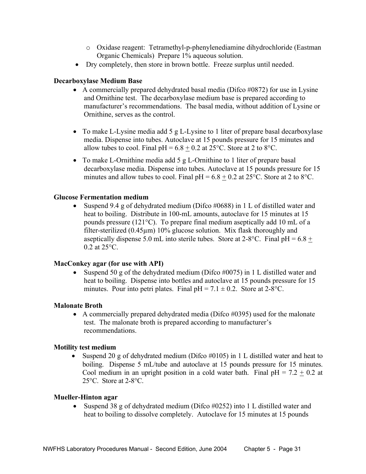- o Oxidase reagent: Tetramethyl-p-phenylenediamine dihydrochloride (Eastman Organic Chemicals) Prepare 1% aqueous solution.
- Dry completely, then store in brown bottle. Freeze surplus until needed.

#### **Decarboxylase Medium Base**

- A commercially prepared dehydrated basal media (Difco #0872) for use in Lysine and Ornithine test. The decarboxylase medium base is prepared according to manufacturer's recommendations. The basal media, without addition of Lysine or Ornithine, serves as the control.
- To make L-Lysine media add 5 g L-Lysine to 1 liter of prepare basal decarboxylase media. Dispense into tubes. Autoclave at 15 pounds pressure for 15 minutes and allow tubes to cool. Final  $pH = 6.8 \pm 0.2$  at 25°C. Store at 2 to 8°C.
- To make L-Ornithine media add 5 g L-Ornithine to 1 liter of prepare basal decarboxylase media. Dispense into tubes. Autoclave at 15 pounds pressure for 15 minutes and allow tubes to cool. Final  $pH = 6.8 + 0.2$  at 25°C. Store at 2 to 8°C.

#### **Glucose Fermentation medium**

• Suspend 9.4 g of dehydrated medium (Difco #0688) in 1 L of distilled water and heat to boiling. Distribute in 100-mL amounts, autoclave for 15 minutes at 15 pounds pressure (121°C). To prepare final medium aseptically add 10 mL of a filter-sterilized (0.45µm) 10% glucose solution. Mix flask thoroughly and aseptically dispense 5.0 mL into sterile tubes. Store at  $2-8$ °C. Final pH =  $6.8 +$ 0.2 at 25°C.

#### **MacConkey agar (for use with API)**

• Suspend 50 g of the dehydrated medium (Difco #0075) in 1 L distilled water and heat to boiling. Dispense into bottles and autoclave at 15 pounds pressure for 15 minutes. Pour into petri plates. Final  $pH = 7.1 \pm 0.2$ . Store at 2-8°C.

#### **Malonate Broth**

• A commercially prepared dehydrated media (Difco #0395) used for the malonate test. The malonate broth is prepared according to manufacturer's recommendations.

#### **Motility test medium**

Suspend 20 g of dehydrated medium (Difco  $\#0105$ ) in 1 L distilled water and heat to boiling. Dispense 5 mL/tube and autoclave at 15 pounds pressure for 15 minutes. Cool medium in an upright position in a cold water bath. Final  $pH = 7.2 + 0.2$  at 25°C. Store at 2-8°C.

#### **Mueller-Hinton agar**

• Suspend 38 g of dehydrated medium (Difco  $\#0252$ ) into 1 L distilled water and heat to boiling to dissolve completely. Autoclave for 15 minutes at 15 pounds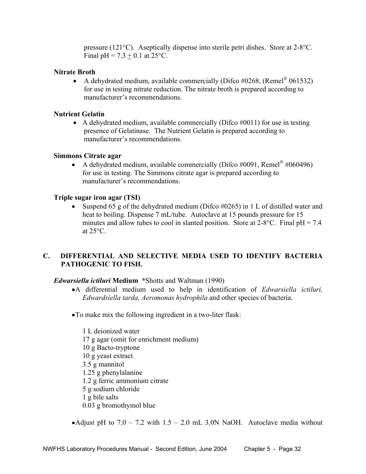pressure (121°C). Aseptically dispense into sterile petri dishes. Store at 2-8°C. Final pH =  $7.3 + 0.1$  at  $25^{\circ}$ C.

#### **Nitrate Broth**

• A dehydrated medium, available commercially (Difco  $\#0268$ , (Remel® 061532) for use in testing nitrate reduction. The nitrate broth is prepared according to manufacturer's recommendations.

#### **Nutrient Gelatin**

• A dehydrated medium, available commercially (Difco  $\#0011$ ) for use in testing presence of Gelatinase. The Nutrient Gelatin is prepared according to manufacturer's recommendations.

#### **Simmons Citrate agar**

• A dehydrated medium, available commercially (Difco  $\#0091$ , Remel<sup>®</sup>  $\#060496$ ) for use in testing. The Simmons citrate agar is prepared according to manufacturer's recommendations.

#### **Triple sugar iron agar (TSI)**

• Suspend 65 g of the dehydrated medium (Difco #0265) in 1 L of distilled water and heat to boiling. Dispense 7 mL/tube. Autoclave at 15 pounds pressure for 15 minutes and allow tubes to cool in slanted position. Store at  $2-8$ °C. Final pH = 7.4 at  $25^{\circ}$ C.

### **C. DIFFERENTIAL AND SELECTIVE MEDIA USED TO IDENTIFY BACTERIA PATHOGENIC TO FISH.**

#### *Edwarsiella ictiluri* **Medium \***Shotts and Waltman (1990)

- •A differential medium used to help in identification of *Edwarsiella ictiluri, Edwardsiella tarda, Aeromonas hydrophila* and other species of bacteria.
- •To make mix the following ingredient in a two-liter flask:

 1 L deionized water 17 g agar (omit for enrichment medium) 10 g Bacto-tryptone 10 g yeast extract 3.5 g mannitol 1.25 g phenylalanine 1.2 g ferric ammonium citrate 5 g sodium chloride 1 g bile salts 0.03 g bromothymol blue

•Adjust pH to  $7.0 - 7.2$  with  $1.5 - 2.0$  mL 3.0N NaOH. Autoclave media without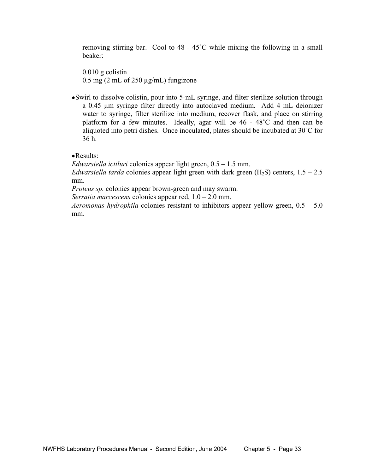removing stirring bar. Cool to 48 - 45˚C while mixing the following in a small beaker:

 0.010 g colistin 0.5 mg (2 mL of 250  $\mu$ g/mL) fungizone

•Swirl to dissolve colistin, pour into 5-mL syringe, and filter sterilize solution through a 0.45 µm syringe filter directly into autoclaved medium. Add 4 mL deionizer water to syringe, filter sterilize into medium, recover flask, and place on stirring platform for a few minutes. Ideally, agar will be 46 - 48˚C and then can be aliquoted into petri dishes. Once inoculated, plates should be incubated at 30˚C for 36 h.

•Results:

*Edwarsiella ictiluri* colonies appear light green, 0.5 – 1.5 mm.

*Edwarsiella tarda* colonies appear light green with dark green  $(H_2S)$  centers,  $1.5 - 2.5$ mm.

*Proteus sp.* colonies appear brown-green and may swarm.

*Serratia marcescens* colonies appear red, 1.0 – 2.0 mm.

*Aeromonas hydrophila* colonies resistant to inhibitors appear yellow-green, 0.5 – 5.0 mm.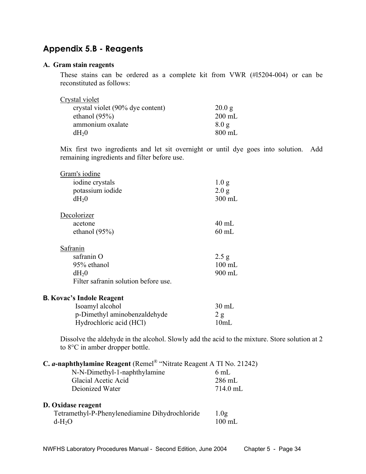### **Appendix 5.B - Reagents**

#### **A. Gram stain reagents**

 These stains can be ordered as a complete kit from VWR (#l5204-004) or can be reconstituted as follows:

| Crystal violet                   |                  |
|----------------------------------|------------------|
| crystal violet (90% dye content) | 20.0 g           |
| ethanol $(95\%)$                 | $200$ mL         |
| ammonium oxalate                 | 8.0 <sub>g</sub> |
| dH <sub>2</sub> 0                | $800$ mL         |

 Mix first two ingredients and let sit overnight or until dye goes into solution. Add remaining ingredients and filter before use.

| Gram's iodine                        |                  |
|--------------------------------------|------------------|
| iodine crystals                      | 1.0 <sub>g</sub> |
| potassium iodide                     | 2.0 g            |
| $dH_20$                              | 300 mL           |
| Decolorizer                          |                  |
| acetone                              | $40$ mL          |
| ethanol $(95\%)$                     | $60$ mL          |
| Safranin                             |                  |
| safranin O                           | 2.5 g            |
| 95% ethanol                          | $100$ mL         |
| $dH_20$                              | 900 mL           |
| Filter safranin solution before use. |                  |
| <b>B. Kovac's Indole Reagent</b>     |                  |
| Isoamyl alcohol                      | $30 \text{ mL}$  |
| p-Dimethyl aminobenzaldehyde         | 2 g              |
| Hydrochloric acid (HCl)              | 10mL             |

 Dissolve the aldehyde in the alcohol. Slowly add the acid to the mixture. Store solution at 2 to 8°C in amber dropper bottle.

| C. a-naphthylamine Reagent (Remel® "Nitrate Reagent A TI No. 21242) |  |  |
|---------------------------------------------------------------------|--|--|
|                                                                     |  |  |

| $6 \text{ mL}$   |
|------------------|
| $286 \text{ mL}$ |
| 714.0 mL         |
|                  |
|                  |

### **D. Oxidase reagent**

| Tetramethyl-P-Phenylenediamine Dihydrochloride | 1.0 <sub>g</sub> |
|------------------------------------------------|------------------|
| $d-H2O$                                        | $100 \text{ mL}$ |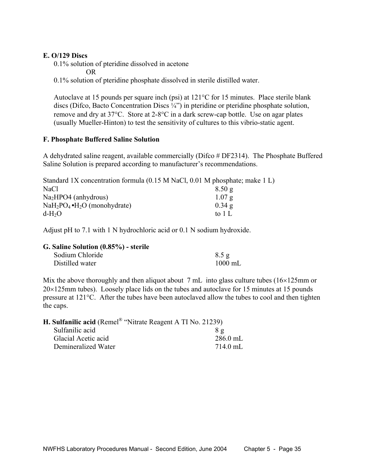#### **E. O/129 Discs**

0.1% solution of pteridine dissolved in acetone

OR

0.1% solution of pteridine phosphate dissolved in sterile distilled water.

 Autoclave at 15 pounds per square inch (psi) at 121°C for 15 minutes. Place sterile blank discs (Difco, Bacto Concentration Discs ¼") in pteridine or pteridine phosphate solution, remove and dry at 37°C. Store at 2-8°C in a dark screw-cap bottle. Use on agar plates (usually Mueller-Hinton) to test the sensitivity of cultures to this vibrio-static agent.

#### **F. Phosphate Buffered Saline Solution**

A dehydrated saline reagent, available commercially (Difco  $\#$  DF2314). The Phosphate Buffered Saline Solution is prepared according to manufacturer's recommendations.

| Standard 1X concentration formula (0.15 M NaCl, 0.01 M phosphate; make 1 L) |          |
|-----------------------------------------------------------------------------|----------|
| NaCl                                                                        | 8.50g    |
| $Na2HPO4$ (anhydrous)                                                       | 1.07 g   |
| $NaH_2PO_4 \cdot H_2O$ (monohydrate)                                        | $0.34$ g |
| $d-H2O$                                                                     | to 1 L   |

Adjust pH to 7.1 with 1 N hydrochloric acid or 0.1 N sodium hydroxide.

| G. Saline Solution (0.85%) - sterile |                   |
|--------------------------------------|-------------------|
| Sodium Chloride                      | 8.5 g             |
| Distilled water                      | $1000 \text{ mL}$ |

Mix the above thoroughly and then aliquot about 7 mL into glass culture tubes (16×125mm or  $20\times125$ mm tubes). Loosely place lids on the tubes and autoclave for 15 minutes at 15 pounds pressure at 121°C. After the tubes have been autoclaved allow the tubes to cool and then tighten the caps.

| <b>H. Sulfanilic acid</b> (Remel <sup>®</sup> "Nitrate Reagent A TI No. 21239) |                    |
|--------------------------------------------------------------------------------|--------------------|
| Sulfanilic acid                                                                | $8\sigma$          |
| Glacial Acetic acid                                                            | $286.0$ mL         |
| Demineralized Water                                                            | $714.0 \text{ mL}$ |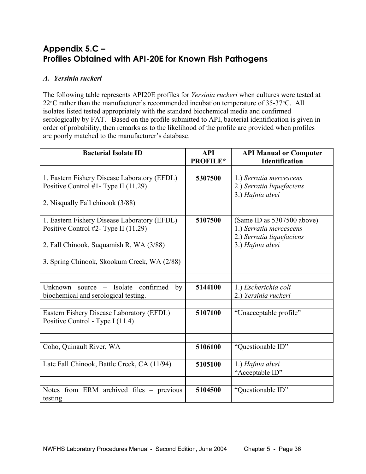### **Appendix 5.C – Profiles Obtained with API-20E for Known Fish Pathogens**

### *A. Yersinia ruckeri*

The following table represents API20E profiles for *Yersinia ruckeri* when cultures were tested at 22°C rather than the manufacturer's recommended incubation temperature of 35-37°C. All isolates listed tested appropriately with the standard biochemical media and confirmed serologically by FAT. Based on the profile submitted to API, bacterial identification is given in order of probability, then remarks as to the likelihood of the profile are provided when profiles are poorly matched to the manufacturer's database.

| <b>Bacterial Isolate ID</b>                                                                                                                                                    | <b>API</b><br><b>PROFILE*</b> | <b>API Manual or Computer</b><br><b>Identification</b>                                                 |
|--------------------------------------------------------------------------------------------------------------------------------------------------------------------------------|-------------------------------|--------------------------------------------------------------------------------------------------------|
| 1. Eastern Fishery Disease Laboratory (EFDL)<br>Positive Control #1- Type II (11.29)<br>2. Nisqually Fall chinook (3/88)                                                       | 5307500                       | 1.) Serratia mercescens<br>2.) Serratia liquefaciens<br>3.) Hafnia alvei                               |
| 1. Eastern Fishery Disease Laboratory (EFDL)<br>Positive Control #2- Type II (11.29)<br>2. Fall Chinook, Suquamish R, WA (3/88)<br>3. Spring Chinook, Skookum Creek, WA (2/88) | 5107500                       | (Same ID as 5307500 above)<br>1.) Serratia mercescens<br>2.) Serratia liquefaciens<br>3.) Hafnia alvei |
| - Isolate confirmed<br>Unknown<br>source<br>by<br>biochemical and serological testing.                                                                                         | 5144100                       | 1.) Escherichia coli<br>2.) Yersinia ruckeri                                                           |
| Eastern Fishery Disease Laboratory (EFDL)<br>Positive Control - Type I (11.4)                                                                                                  | 5107100                       | "Unacceptable profile"                                                                                 |
| Coho, Quinault River, WA                                                                                                                                                       | 5106100                       | "Questionable ID"                                                                                      |
| Late Fall Chinook, Battle Creek, CA (11/94)                                                                                                                                    | 5105100                       | 1.) Hafnia alvei<br>"Acceptable ID"                                                                    |
| Notes from ERM archived files – previous<br>testing                                                                                                                            | 5104500                       | "Questionable ID"                                                                                      |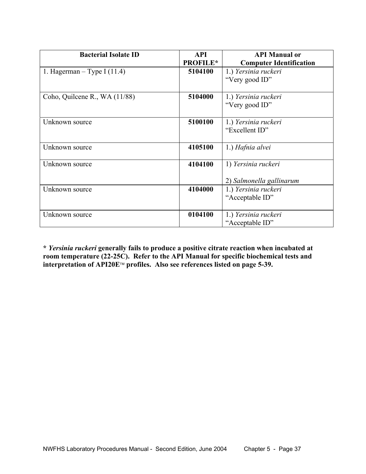| <b>Bacterial Isolate ID</b>   | <b>API</b><br><b>PROFILE*</b> | <b>API Manual or</b><br><b>Computer Identification</b> |
|-------------------------------|-------------------------------|--------------------------------------------------------|
| 1. Hagerman – Type I $(11.4)$ | 5104100                       | 1.) Yersinia ruckeri<br>"Very good ID"                 |
| Coho, Quilcene R., WA (11/88) | 5104000                       | 1.) Yersinia ruckeri<br>"Very good ID"                 |
| Unknown source                | 5100100                       | 1.) Yersinia ruckeri<br>"Excellent ID"                 |
| Unknown source                | 4105100                       | 1.) Hafnia alvei                                       |
| Unknown source                | 4104100                       | 1) Yersinia ruckeri<br>2) Salmonella gallinarum        |
| Unknown source                | 4104000                       | 1.) Yersinia ruckeri<br>"Acceptable ID"                |
| Unknown source                | 0104100                       | 1.) Yersinia ruckeri<br>"Acceptable ID"                |

**\*** *Yersinia ruckeri* **generally fails to produce a positive citrate reaction when incubated at room temperature (22-25C). Refer to the API Manual for specific biochemical tests and**  interpretation of API20E™ profiles. Also see references listed on page 5-39.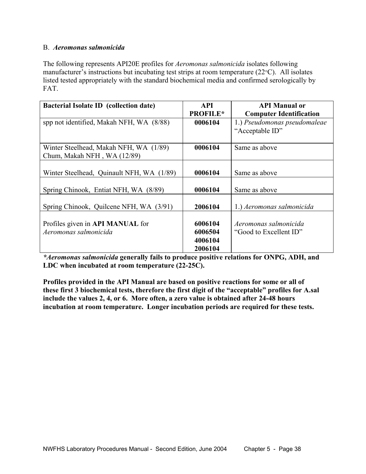#### B. *Aeromonas salmonicida*

The following represents API20E profiles for *Aeromonas salmonicida* isolates following manufacturer's instructions but incubating test strips at room temperature (22°C). All isolates listed tested appropriately with the standard biochemical media and confirmed serologically by FAT.

| <b>Bacterial Isolate ID</b> (collection date)                         | <b>API</b>                               | <b>API Manual or</b>                            |
|-----------------------------------------------------------------------|------------------------------------------|-------------------------------------------------|
|                                                                       | <b>PROFILE*</b>                          | <b>Computer Identification</b>                  |
| spp not identified, Makah NFH, WA (8/88)                              | 0006104                                  | 1.) Pseudomonas pseudomaleae<br>"Acceptable ID" |
| Winter Steelhead, Makah NFH, WA (1/89)<br>Chum, Makah NFH, WA (12/89) | 0006104                                  | Same as above                                   |
| Winter Steelhead, Quinault NFH, WA (1/89)                             | 0006104                                  | Same as above                                   |
| Spring Chinook, Entiat NFH, WA (8/89)                                 | 0006104                                  | Same as above                                   |
| Spring Chinook, Quilcene NFH, WA (3/91)                               | 2006104                                  | 1.) Aeromonas salmonicida                       |
| Profiles given in API MANUAL for<br>Aeromonas salmonicida             | 6006104<br>6006504<br>4006104<br>2006104 | Aeromonas salmonicida<br>"Good to Excellent ID" |

*\*Aeromonas salmonicida* **generally fails to produce positive relations for ONPG, ADH, and LDC when incubated at room temperature (22-25C).** 

**Profiles provided in the API Manual are based on positive reactions for some or all of these first 3 biochemical tests, therefore the first digit of the "acceptable" profiles for A.sal include the values 2, 4, or 6. More often, a zero value is obtained after 24-48 hours incubation at room temperature. Longer incubation periods are required for these tests.**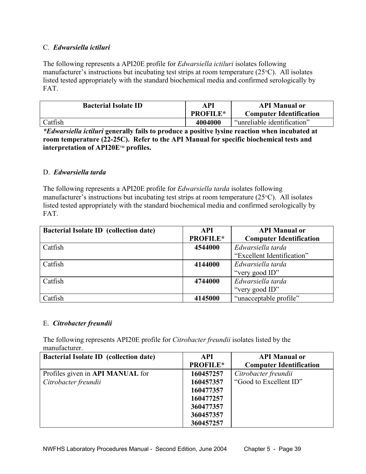#### C. *Edwarsiella ictiluri*

The following represents a API20E profile for *Edwarsiella ictiluri* isolates following manufacturer's instructions but incubating test strips at room temperature (25°C). All isolates listed tested appropriately with the standard biochemical media and confirmed serologically by FAT.

| <b>Bacterial Isolate ID</b> | API<br><b>PROFILE*</b> | <b>API Manual or</b><br><b>Computer Identification</b> |
|-----------------------------|------------------------|--------------------------------------------------------|
| Catfish                     | 4004000                | "unreliable identification"                            |

*\*Edwarsiella ictiluri* **generally fails to produce a positive lysine reaction when incubated at room temperature (22-25C). Refer to the API Manual for specific biochemical tests and interpretation of API20E profiles.** 

#### D. *Edwarsiella tarda*

The following represents a API20E profile for *Edwarsiella tarda* isolates following manufacturer's instructions but incubating test strips at room temperature (25°C). All isolates listed tested appropriately with the standard biochemical media and confirmed serologically by FAT.

| <b>Bacterial Isolate ID</b> (collection date) | <b>API</b>      | <b>API Manual or</b>           |
|-----------------------------------------------|-----------------|--------------------------------|
|                                               | <b>PROFILE*</b> | <b>Computer Identification</b> |
| Catfish                                       | 4544000         | Edwarsiella tarda              |
|                                               |                 | "Excellent Identification"     |
| Catfish                                       | 4144000         | Edwarsiella tarda              |
|                                               |                 | "very good ID"                 |
| Catfish                                       | 4744000         | Edwarsiella tarda              |
|                                               |                 | "very good ID"                 |
| Catfish                                       | 4145000         | "unacceptable profile"         |

#### E.*Citrobacter freundii*

The following represents API20E profile for *Citrobacter freundii* isolates listed by the manufacturer.

| <b>Bacterial Isolate ID</b> (collection date) | <b>API</b>      | <b>API Manual or</b>           |
|-----------------------------------------------|-----------------|--------------------------------|
|                                               | <b>PROFILE*</b> | <b>Computer Identification</b> |
| Profiles given in API MANUAL for              | 160457257       | Citrobacter freundii           |
| Citrobacter freundii                          | 160457357       | "Good to Excellent ID"         |
|                                               | 160477357       |                                |
|                                               | 160477257       |                                |
|                                               | 360477357       |                                |
|                                               | 360457357       |                                |
|                                               | 360457257       |                                |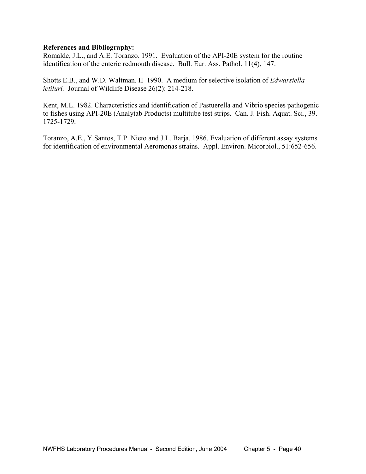#### **References and Bibliography:**

Romalde, J.L., and A.E. Toranzo. 1991. Evaluation of the API-20E system for the routine identification of the enteric redmouth disease. Bull. Eur. Ass. Pathol. 11(4), 147.

Shotts E.B., and W.D. Waltman. II 1990. A medium for selective isolation of *Edwarsiella ictiluri.* Journal of Wildlife Disease 26(2): 214-218.

Kent, M.L. 1982. Characteristics and identification of Pastuerella and Vibrio species pathogenic to fishes using API-20E (Analytab Products) multitube test strips. Can. J. Fish. Aquat. Sci., 39. 1725-1729.

Toranzo, A.E., Y.Santos, T.P. Nieto and J.L. Barja. 1986. Evaluation of different assay systems for identification of environmental Aeromonas strains. Appl. Environ. Micorbiol., 51:652-656.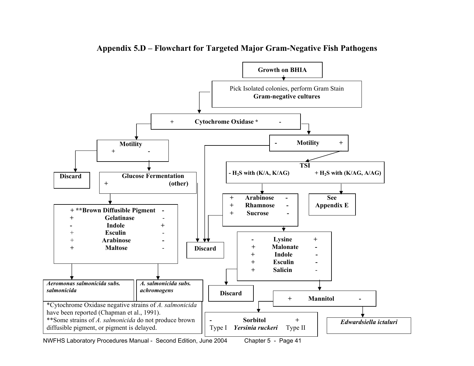

**Appendix 5.D – Flowchart for Targeted Major Gram-Negative Fish Pathogens** 

NWFHS Laboratory Procedures Manual - Second Edition, June 2004 Chapter 5 - Page 41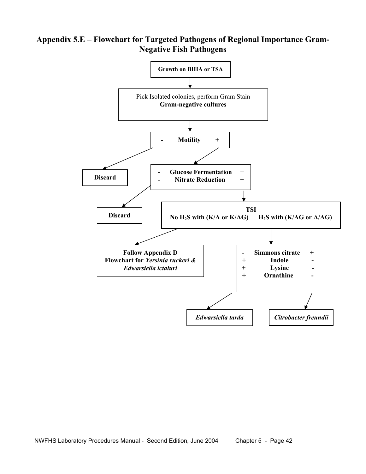### **Appendix 5.E – Flowchart for Targeted Pathogens of Regional Importance Gram-Negative Fish Pathogens**

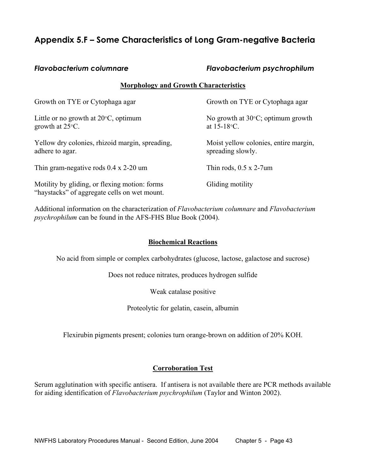### **Appendix 5.F – Some Characteristics of Long Gram-negative Bacteria**

#### *Flavobacterium columnare Flavobacterium psychrophilum*

#### **Morphology and Growth Characteristics**

| Growth on TYE or Cytophaga agar                                                               | Growth on TYE or Cytophaga agar                             |
|-----------------------------------------------------------------------------------------------|-------------------------------------------------------------|
| Little or no growth at $20^{\circ}$ C, optimum<br>growth at $25^{\circ}$ C.                   | No growth at $30^{\circ}$ C; optimum growth<br>at 15-18 °C. |
| Yellow dry colonies, rhizoid margin, spreading,<br>adhere to agar.                            | Moist yellow colonies, entire margin,<br>spreading slowly.  |
| Thin gram-negative rods $0.4 \times 2-20$ um                                                  | Thin rods, $0.5 \times 2$ -7 um                             |
| Motility by gliding, or flexing motion: forms<br>"haystacks" of aggregate cells on wet mount. | Gliding motility                                            |

Additional information on the characterization of *Flavobacterium columnare* and *Flavobacterium psychrophilum* can be found in the AFS-FHS Blue Book (2004).

#### **Biochemical Reactions**

No acid from simple or complex carbohydrates (glucose, lactose, galactose and sucrose)

Does not reduce nitrates, produces hydrogen sulfide

Weak catalase positive

Proteolytic for gelatin, casein, albumin

Flexirubin pigments present; colonies turn orange-brown on addition of 20% KOH.

#### **Corroboration Test**

Serum agglutination with specific antisera. If antisera is not available there are PCR methods available for aiding identification of *Flavobacterium psychrophilum* (Taylor and Winton 2002).